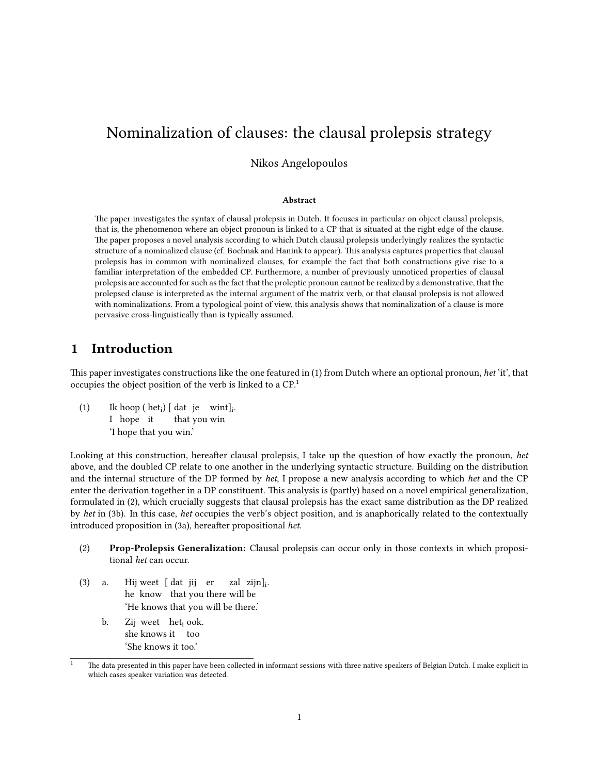# Nominalization of clauses: the clausal prolepsis strategy

Nikos Angelopoulos

#### Abstract

e paper investigates the syntax of clausal prolepsis in Dutch. It focuses in particular on object clausal prolepsis, that is, the phenomenon where an object pronoun is linked to a CP that is situated at the right edge of the clause. e paper proposes a novel analysis according to which Dutch clausal prolepsis underlyingly realizes the syntactic structure of a nominalized clause (cf. Bochnak and Hanink to appear). is analysis captures properties that clausal prolepsis has in common with nominalized clauses, for example the fact that both constructions give rise to a familiar interpretation of the embedded CP. Furthermore, a number of previously unnoticed properties of clausal prolepsis are accounted for such as the fact that the proleptic pronoun cannot be realized by a demonstrative, that the prolepsed clause is interpreted as the internal argument of the matrix verb, or that clausal prolepsis is not allowed with nominalizations. From a typological point of view, this analysis shows that nominalization of a clause is more pervasive cross-linguistically than is typically assumed.

### 1 Introduction

This paper investigates constructions like the one featured in (1) from Dutch where an optional pronoun, het 'it', that occupies the object position of the verb is linked to a CP.<sup>1</sup>

 $(1)$ I hope it  $hoop (het<sub>i</sub>) [dat je with]$ <sub>i</sub>. that you win 'I hope that you win.'

Looking at this construction, hereafter clausal prolepsis, I take up the question of how exactly the pronoun, het above, and the doubled CP relate to one another in the underlying syntactic structure. Building on the distribution and the internal structure of the DP formed by het, I propose a new analysis according to which het and the CP enter the derivation together in a DP constituent. This analysis is (partly) based on a novel empirical generalization, formulated in (2), which crucially suggests that clausal prolepsis has the exact same distribution as the DP realized by het in (3b). In this case, het occupies the verb's object position, and is anaphorically related to the contextually introduced proposition in (3a), hereafter propositional het.

- (2) Prop-Prolepsis Generalization: Clausal prolepsis can occur only in those contexts in which propositional het can occur.
- $(3)$  a. he know that you there will be weet [ dat jij er zal zijn]<sub>i</sub>. 'He knows that you will be there.'
	- b. Zij weet het<sub>i</sub> ook. she knows it too 'She knows it too.'

The data presented in this paper have been collected in informant sessions with three native speakers of Belgian Dutch. I make explicit in which cases speaker variation was detected.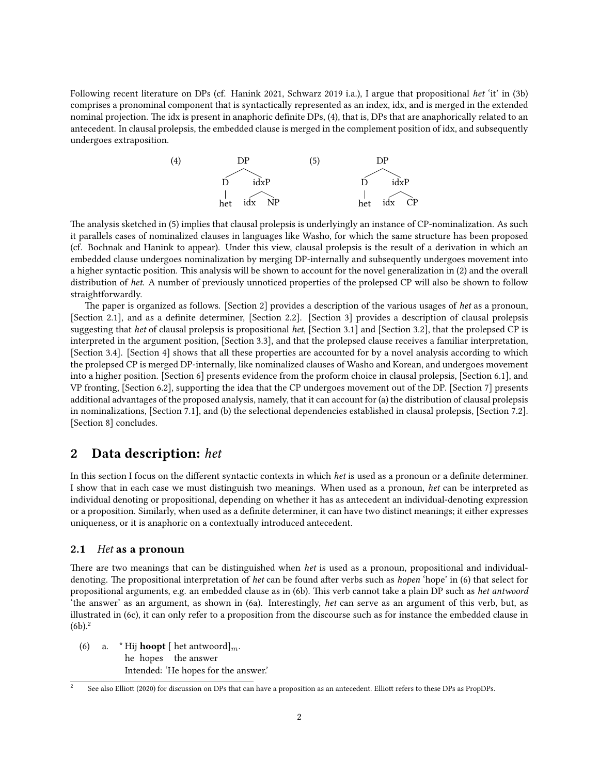Following recent literature on DPs (cf. Hanink 2021, Schwarz 2019 i.a.), I argue that propositional het 'it' in (3b) comprises a pronominal component that is syntactically represented as an index, idx, and is merged in the extended nominal projection. The idx is present in anaphoric definite DPs, (4), that is, DPs that are anaphorically related to an antecedent. In clausal prolepsis, the embedded clause is merged in the complement position of idx, and subsequently undergoes extraposition.

(4) DP D het idxP idx NP (5) DP D het idxP idx CP

e analysis sketched in (5) implies that clausal prolepsis is underlyingly an instance of CP-nominalization. As such it parallels cases of nominalized clauses in languages like Washo, for which the same structure has been proposed (cf. Bochnak and Hanink to appear). Under this view, clausal prolepsis is the result of a derivation in which an embedded clause undergoes nominalization by merging DP-internally and subsequently undergoes movement into a higher syntactic position. This analysis will be shown to account for the novel generalization in (2) and the overall distribution of het. A number of previously unnoticed properties of the prolepsed CP will also be shown to follow straightforwardly.

The paper is organized as follows. [Section 2] provides a description of the various usages of het as a pronoun, [Section 2.1], and as a definite determiner, [Section 2.2]. [Section 3] provides a description of clausal prolepsis suggesting that het of clausal prolepsis is propositional het, [Section 3.1] and [Section 3.2], that the prolepsed CP is interpreted in the argument position, [Section 3.3], and that the prolepsed clause receives a familiar interpretation, [Section 3.4]. [Section 4] shows that all these properties are accounted for by a novel analysis according to which the prolepsed CP is merged DP-internally, like nominalized clauses of Washo and Korean, and undergoes movement into a higher position. [Section 6] presents evidence from the proform choice in clausal prolepsis, [Section 6.1], and VP fronting, [Section 6.2], supporting the idea that the CP undergoes movement out of the DP. [Section 7] presents additional advantages of the proposed analysis, namely, that it can account for (a) the distribution of clausal prolepsis in nominalizations, [Section 7.1], and (b) the selectional dependencies established in clausal prolepsis, [Section 7.2]. [Section 8] concludes.

### 2 Data description: het

In this section I focus on the different syntactic contexts in which het is used as a pronoun or a definite determiner. I show that in each case we must distinguish two meanings. When used as a pronoun, het can be interpreted as individual denoting or propositional, depending on whether it has as antecedent an individual-denoting expression or a proposition. Similarly, when used as a definite determiner, it can have two distinct meanings; it either expresses uniqueness, or it is anaphoric on a contextually introduced antecedent.

#### 2.1 Het as a pronoun

There are two meanings that can be distinguished when het is used as a pronoun, propositional and individualdenoting. The propositional interpretation of het can be found after verbs such as hopen 'hope' in (6) that select for propositional arguments, e.g. an embedded clause as in (6b). This verb cannot take a plain DP such as het antwoord 'the answer' as an argument, as shown in (6a). Interestingly, het can serve as an argument of this verb, but, as illustrated in (6c), it can only refer to a proposition from the discourse such as for instance the embedded clause in  $(6b)^2$ 

(6) a. \* Hij **hoopt** [ het antwoord]<sub>*m*</sub>. he hopes the answer Intended: 'He hopes for the answer.'

See also Elliott (2020) for discussion on DPs that can have a proposition as an antecedent. Elliott refers to these DPs as PropDPs.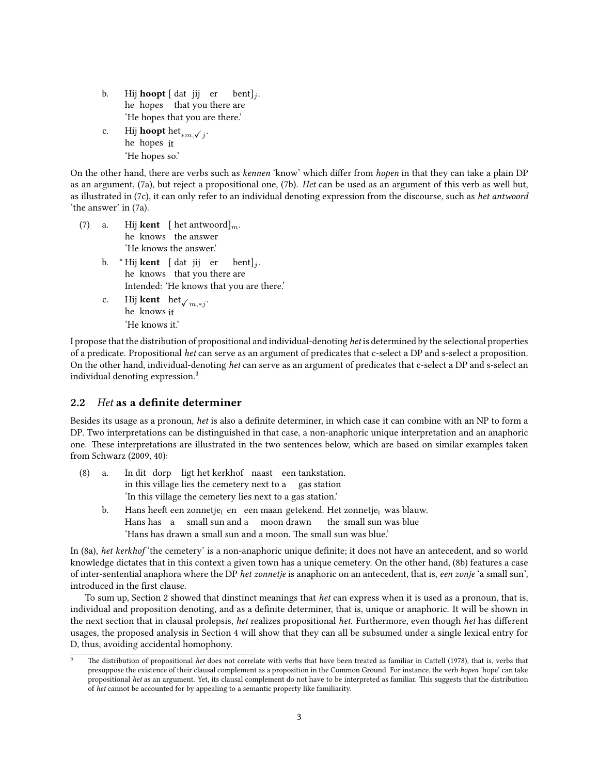- b. Hij **hoopt** [dat jij er bent]<sub>j</sub>. he hopes that you there are 'He hopes that you are there.'
- c. Hij **hoopt** het<sub>\*m,√j</sub>. he hopes it 'He hopes so.'

On the other hand, there are verbs such as kennen 'know' which differ from hopen in that they can take a plain DP as an argument, (7a), but reject a propositional one, (7b). Het can be used as an argument of this verb as well but, as illustrated in (7c), it can only refer to an individual denoting expression from the discourse, such as het antwoord 'the answer' in (7a).

 $(7)$  a. he knows the answer **kent** [ het antwoord]<sub>*m*</sub>. 'He knows the answer.' b. \*Hij **kent** [dat jij er he knows that you there are  $\mathrm{bent}$ ]<sub>i</sub>. Intended: 'He knows that you are there.' c. he knows it  $k$ ent  ${\rm het}_{{\cal V}_{m, *j}}.$ 

'He knows it.'

I propose that the distribution of propositional and individual-denoting het is determined by the selectional properties of a predicate. Propositional het can serve as an argument of predicates that c-select a DP and s-select a proposition. On the other hand, individual-denoting het can serve as an argument of predicates that c-select a DP and s-select an individual denoting expression.<sup>3</sup>

### 2.2 Het as a definite determiner

Besides its usage as a pronoun, het is also a definite determiner, in which case it can combine with an NP to form a DP. Two interpretations can be distinguished in that case, a non-anaphoric unique interpretation and an anaphoric one. These interpretations are illustrated in the two sentences below, which are based on similar examples taken from Schwarz (2009, 40):

- $(8)$  a. in this village lies the cemetery next to a gas station dit dorp ligt het kerkhof naast een tankstation. 'In this village the cemetery lies next to a gas station.'
	- b. Hans heeft een zonnetje<sub>i</sub> en een maan getekend. Het zonnetje<sub>i</sub> was blauw. Hans has a small sun and a moon drawn the small sun was blue 'Hans has drawn a small sun and a moon. The small sun was blue.'

In (8a), het kerkhof 'the cemetery' is a non-anaphoric unique definite; it does not have an antecedent, and so world knowledge dictates that in this context a given town has a unique cemetery. On the other hand, (8b) features a case of inter-sentential anaphora where the DP het zonnetje is anaphoric on an antecedent, that is, een zonje 'a small sun', introduced in the first clause.

To sum up, Section 2 showed that dinstinct meanings that *het* can express when it is used as a pronoun, that is, individual and proposition denoting, and as a definite determiner, that is, unique or anaphoric. It will be shown in the next section that in clausal prolepsis, het realizes propositional het. Furthermore, even though het has different usages, the proposed analysis in Section 4 will show that they can all be subsumed under a single lexical entry for D, thus, avoiding accidental homophony.

The distribution of propositional het does not correlate with verbs that have been treated as familiar in Cattell (1978), that is, verbs that presuppose the existence of their clausal complement as a proposition in the Common Ground. For instance, the verb hopen 'hope' can take propositional het as an argument. Yet, its clausal complement do not have to be interpreted as familiar. This suggests that the distribution of het cannot be accounted for by appealing to a semantic property like familiarity.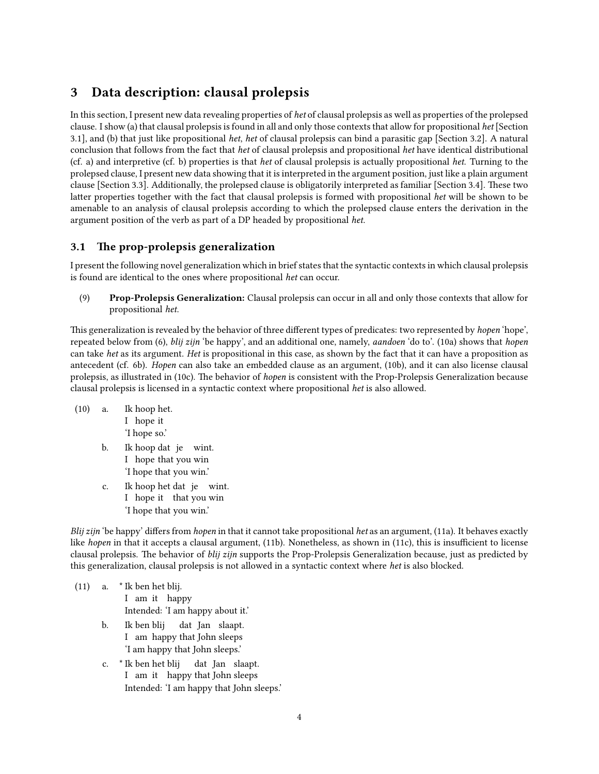## 3 Data description: clausal prolepsis

In this section, I present new data revealing properties of het of clausal prolepsis as well as properties of the prolepsed clause. I show (a) that clausal prolepsis is found in all and only those contexts that allow for propositional het [Section 3.1], and (b) that just like propositional het, het of clausal prolepsis can bind a parasitic gap [Section 3.2]. A natural conclusion that follows from the fact that het of clausal prolepsis and propositional het have identical distributional (cf. a) and interpretive (cf. b) properties is that het of clausal prolepsis is actually propositional het. Turning to the prolepsed clause, I present new data showing that it is interpreted in the argument position, just like a plain argument clause [Section 3.3]. Additionally, the prolepsed clause is obligatorily interpreted as familiar [Section 3.4]. These two latter properties together with the fact that clausal prolepsis is formed with propositional het will be shown to be amenable to an analysis of clausal prolepsis according to which the prolepsed clause enters the derivation in the argument position of the verb as part of a DP headed by propositional het.

### 3.1 The prop-prolepsis generalization

I present the following novel generalization which in brief states that the syntactic contexts in which clausal prolepsis is found are identical to the ones where propositional het can occur.

(9) Prop-Prolepsis Generalization: Clausal prolepsis can occur in all and only those contexts that allow for propositional het.

This generalization is revealed by the behavior of three different types of predicates: two represented by *hopen* 'hope', repeated below from (6), *blij zijn* 'be happy', and an additional one, namely, *aandoen* 'do to'. (10a) shows that *hopen* can take het as its argument. Het is propositional in this case, as shown by the fact that it can have a proposition as antecedent (cf. 6b). Hopen can also take an embedded clause as an argument, (10b), and it can also license clausal prolepsis, as illustrated in (10c). The behavior of *hopen* is consistent with the Prop-Prolepsis Generalization because clausal prolepsis is licensed in a syntactic context where propositional het is also allowed.

- $(10)$  a. I hope it hoop het. 'I hope so.' b. Ik hoop dat je wint. I hope that you win 'I hope that you win.' c. Ik hoop het dat je wint.
	- I hope it that you win 'I hope that you win.'

Blij zijn 'be happy' differs from hopen in that it cannot take propositional het as an argument, (11a). It behaves exactly like hopen in that it accepts a clausal argument, (11b). Nonetheless, as shown in (11c), this is insufficient to license clausal prolepsis. The behavior of blij zijn supports the Prop-Prolepsis Generalization because, just as predicted by this generalization, clausal prolepsis is not allowed in a syntactic context where het is also blocked.

- (11) a. \* Ik ben het blij. I am it happy Intended: 'I am happy about it.'
	- b. Ik ben blij I am happy that John sleeps dat Jan slaapt. 'I am happy that John sleeps.'
	- c. \* Ik ben het blij I am it happy that John sleeps dat Jan slaapt. Intended: 'I am happy that John sleeps.'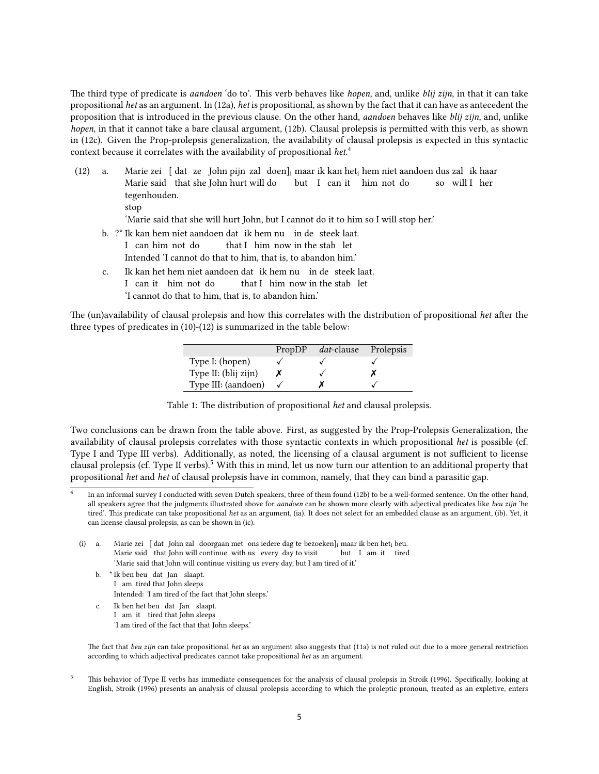The third type of predicate is *aandoen* 'do to'. This verb behaves like *hopen*, and, unlike *blij zijn*, in that it can take propositional het as an argument. In (12a), het is propositional, as shown by the fact that it can have as antecedent the proposition that is introduced in the previous clause. On the other hand, aandoen behaves like blij zijn, and, unlike hopen, in that it cannot take a bare clausal argument, (12b). Clausal prolepsis is permitted with this verb, as shown in (12c). Given the Prop-prolepsis generalization, the availability of clausal prolepsis is expected in this syntactic context because it correlates with the availability of propositional het.<sup>4</sup>

- $(12)$  a. Marie said that she John hurt will do zei [dat ze John pijn zal doen]<sub>i</sub> maar ik kan het<sub>i</sub> hem niet aandoen dus zal ik haar but I can it him not do so will I her tegenhouden.
	- stop

'Marie said that she will hurt John, but I cannot do it to him so I will stop her.'

- b. ?\* Ik kan hem niet aandoen dat ik hem nu in de steek laat. I can him not do that I him now in the stab let Intended 'I cannot do that to him, that is, to abandon him.'
- c. Ik kan het hem niet aandoen dat ik hem nu in de steek laat. I can it him not do that I him now in the stab let 'I cannot do that to him, that is, to abandon him.'

The (un)availability of clausal prolepsis and how this correlates with the distribution of propositional het after the three types of predicates in (10)-(12) is summarized in the table below:

|                      | PropDP | <i>dat</i> -clause | Prolepsis |
|----------------------|--------|--------------------|-----------|
| Type I: (hopen)      |        |                    |           |
| Type II: (blij zijn) |        |                    |           |
| Type III: (aandoen)  |        |                    |           |

Table 1: The distribution of propositional het and clausal prolepsis.

Two conclusions can be drawn from the table above. First, as suggested by the Prop-Prolepsis Generalization, the availability of clausal prolepsis correlates with those syntactic contexts in which propositional het is possible (cf. Type I and Type III verbs). Additionally, as noted, the licensing of a clausal argument is not sufficient to license clausal prolepsis (cf. Type II verbs).<sup>5</sup> With this in mind, let us now turn our attention to an additional property that propositional het and het of clausal prolepsis have in common, namely, that they can bind a parasitic gap.

- $(i)$  a. Marie said that John will continue with us every day to visit zei [ dat John zal doorgaan met ons iedere dag te bezoeken]<sub>i</sub> maar ik ben het<sub>i</sub> beu. but I am it tired 'Marie said that John will continue visiting us every day, but I am tired of it.'
	- b. \* Ik ben beu dat Jan slaapt. I am tired that John sleeps Intended: 'I am tired of the fact that John sleeps.'
	- c. Ik ben het beu dat Jan slaapt. I am it tired that John sleeps 'I am tired of the fact that that John sleeps.'

The fact that beu zijn can take propositional het as an argument also suggests that (11a) is not ruled out due to a more general restriction according to which adjectival predicates cannot take propositional het as an argument.

<sup>5</sup> This behavior of Type II verbs has immediate consequences for the analysis of clausal prolepsis in Stroik (1996). Specifically, looking at English, Stroik (1996) presents an analysis of clausal prolepsis according to which the proleptic pronoun, treated as an expletive, enters

<sup>4</sup> In an informal survey I conducted with seven Dutch speakers, three of them found (12b) to be a well-formed sentence. On the other hand, all speakers agree that the judgments illustrated above for *aandoen* can be shown more clearly with adjectival predicates like beu zijn 'be tired'. This predicate can take propositional het as an argument, (ia). It does not select for an embedded clause as an argument, (ib). Yet, it can license clausal prolepsis, as can be shown in (ic).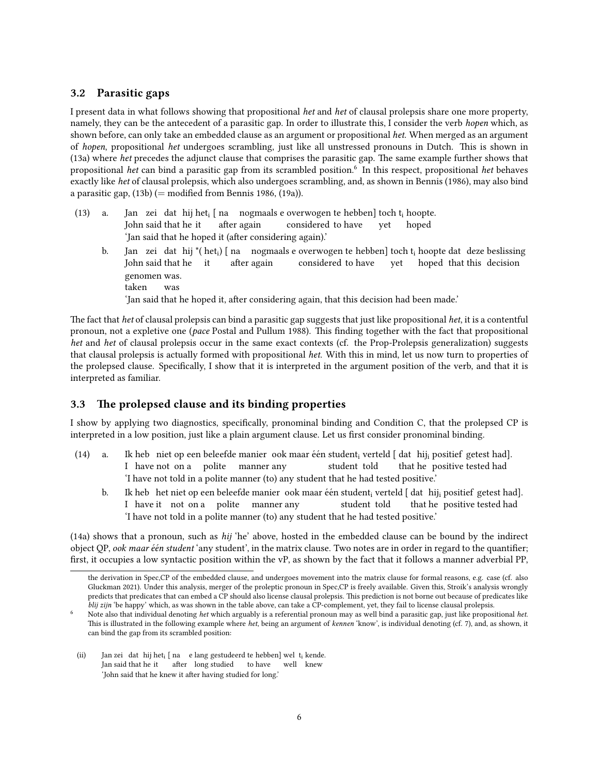### 3.2 Parasitic gaps

I present data in what follows showing that propositional het and het of clausal prolepsis share one more property, namely, they can be the antecedent of a parasitic gap. In order to illustrate this, I consider the verb hopen which, as shown before, can only take an embedded clause as an argument or propositional het. When merged as an argument of hopen, propositional het undergoes scrambling, just like all unstressed pronouns in Dutch. This is shown in  $(13a)$  where het precedes the adjunct clause that comprises the parasitic gap. The same example further shows that propositional het can bind a parasitic gap from its scrambled position.<sup>6</sup> In this respect, propositional het behaves exactly like het of clausal prolepsis, which also undergoes scrambling, and, as shown in Bennis (1986), may also bind a parasitic gap,  $(13b)$  (= modified from Bennis 1986,  $(19a)$ ).

- $(13)$  a. John said that he it zei dat hij het<sub>i</sub> [ na nogmaals e overwogen te hebben] toch t<sub>i</sub> hoopte. after again considered to have yet hoped 'Jan said that he hoped it (after considering again).'
	- b. Jan zei dat hij \*( het<sub>i</sub>) [ na nogmaals e overwogen te hebben] toch t<sub>i</sub> hoopte dat deze beslissing John said that he it after again considered to have yet hoped that this decision genomen was. taken was 'Jan said that he hoped it, after considering again, that this decision had been made.'

The fact that het of clausal prolepsis can bind a parasitic gap suggests that just like propositional het, it is a contentful pronoun, not a expletive one (pace Postal and Pullum 1988). This finding together with the fact that propositional het and het of clausal prolepsis occur in the same exact contexts (cf. the Prop-Prolepsis generalization) suggests that clausal prolepsis is actually formed with propositional het. With this in mind, let us now turn to properties of the prolepsed clause. Specifically, I show that it is interpreted in the argument position of the verb, and that it is interpreted as familiar.

#### 3.3 The prolepsed clause and its binding properties

I show by applying two diagnostics, specifically, pronominal binding and Condition C, that the prolepsed CP is interpreted in a low position, just like a plain argument clause. Let us first consider pronominal binding.

- $(14)$  a. I have not on a polite heb) niet op een beleefde manier) ook maar één student<sub>i</sub> verteld [ dat} hij<sub>i</sub> positief getest had]. manner any student told that he positive tested had 'I have not told in a polite manner (to) any student that he had tested positive.'
	- b. Ik heb het niet op een beleefde manier ook maar één student<sub>i</sub> verteld [ dat hij<sub>i</sub> positief getest had]. I have it not on a polite manner any student told that he positive tested had 'I have not told in a polite manner (to) any student that he had tested positive.'

(14a) shows that a pronoun, such as hij 'he' above, hosted in the embedded clause can be bound by the indirect object QP, ook maar één student 'any student', in the matrix clause. Two notes are in order in regard to the quantifier; first, it occupies a low syntactic position within the vP, as shown by the fact that it follows a manner adverbial PP,

(ii) Jan zei dat hij het<sub>i</sub> [ na e lang gestudeerd te hebben] wel t<sub>i</sub> kende. Jan said that he it after long studied to have well knew 'John said that he knew it after having studied for long.'

the derivation in Spec,CP of the embedded clause, and undergoes movement into the matrix clause for formal reasons, e.g. case (cf. also Gluckman 2021). Under this analysis, merger of the proleptic pronoun in Spec,CP is freely available. Given this, Stroik's analysis wrongly predicts that predicates that can embed a CP should also license clausal prolepsis. This prediction is not borne out because of predicates like blij zijn 'be happy' which, as was shown in the table above, can take a CP-complement, yet, they fail to license clausal prolepsis.

Note also that individual denoting het which arguably is a referential pronoun may as well bind a parasitic gap, just like propositional het. This is illustrated in the following example where het, being an argument of kennen 'know', is individual denoting (cf. 7), and, as shown, it can bind the gap from its scrambled position: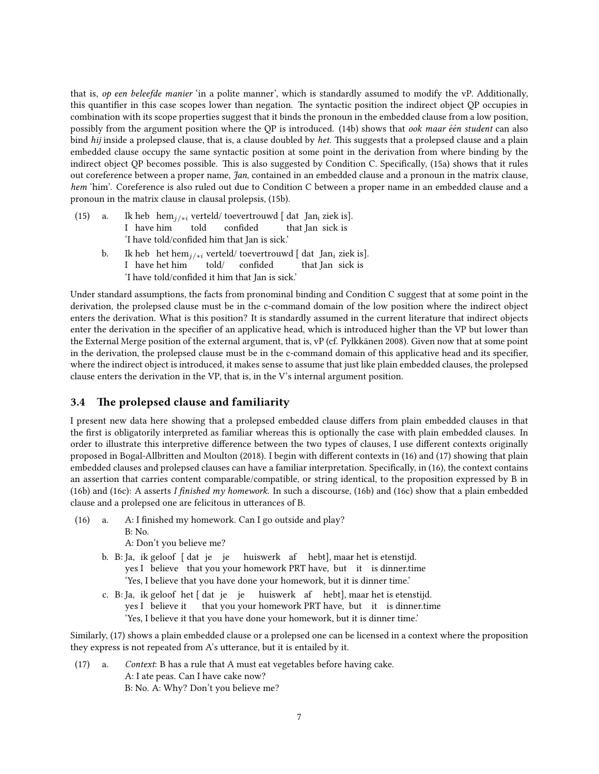that is, op een beleefde manier 'in a polite manner', which is standardly assumed to modify the vP. Additionally, this quantifier in this case scopes lower than negation. The syntactic position the indirect object QP occupies in combination with its scope properties suggest that it binds the pronoun in the embedded clause from a low position, possibly from the argument position where the QP is introduced. (14b) shows that *ook maar één student* can also bind hij inside a prolepsed clause, that is, a clause doubled by het. This suggests that a prolepsed clause and a plain embedded clause occupy the same syntactic position at some point in the derivation from where binding by the indirect object QP becomes possible. This is also suggested by Condition C. Specifically, (15a) shows that it rules out coreference between a proper name, Jan, contained in an embedded clause and a pronoun in the matrix clause, hem 'him'. Coreference is also ruled out due to Condition C between a proper name in an embedded clause and a pronoun in the matrix clause in clausal prolepsis, (15b).

- $(15)$  a. I have him heb hem<sub>j/∗i</sub> verteld/ toevertrouwd [ dat Jan<sub>i</sub> ziek is]. told confided that Jan sick is 'I have told/confided him that Jan is sick.'
	- b. Ik heb het hem $_{j/*i}$  verteld/toevertrouwd [dat Jan $_i$  ziek is]. I have het him told/ confided that Jan sick is 'I have told/confided it him that Jan is sick.'

Under standard assumptions, the facts from pronominal binding and Condition C suggest that at some point in the derivation, the prolepsed clause must be in the c-command domain of the low position where the indirect object enters the derivation. What is this position? It is standardly assumed in the current literature that indirect objects enter the derivation in the specifier of an applicative head, which is introduced higher than the VP but lower than the External Merge position of the external argument, that is, vP (cf. Pylkkänen 2008). Given now that at some point in the derivation, the prolepsed clause must be in the c-command domain of this applicative head and its specifier, where the indirect object is introduced, it makes sense to assume that just like plain embedded clauses, the prolepsed clause enters the derivation in the VP, that is, in the V's internal argument position.

#### 3.4 The prolepsed clause and familiarity

I present new data here showing that a prolepsed embedded clause differs from plain embedded clauses in that the first is obligatorily interpreted as familiar whereas this is optionally the case with plain embedded clauses. In order to illustrate this interpretive difference between the two types of clauses, I use different contexts originally proposed in Bogal-Allbritten and Moulton (2018). I begin with different contexts in (16) and (17) showing that plain embedded clauses and prolepsed clauses can have a familiar interpretation. Specifically, in (16), the context contains an assertion that carries content comparable/compatible, or string identical, to the proposition expressed by B in (16b) and (16c): A asserts I finished my homework. In such a discourse, (16b) and (16c) show that a plain embedded clause and a prolepsed one are felicitous in utterances of B.

(16) a. A: I finished my homework. Can I go outside and play? B: No.

A: Don't you believe me?

- b. B: Ja, ik geloof [ dat je je huiswerk af hebt], maar het is etenstijd. yes I believe that you your homework PRT have, but it is dinner.time 'Yes, I believe that you have done your homework, but it is dinner time.'
- c. B: Ja, ik geloof het [ dat je je yes I believe it that you your homework PRT have, but it is dinner.time huiswerk af hebt], maar het is etenstijd. 'Yes, I believe it that you have done your homework, but it is dinner time.'

Similarly, (17) shows a plain embedded clause or a prolepsed one can be licensed in a context where the proposition they express is not repeated from A's utterance, but it is entailed by it.

(17) a. Context: B has a rule that A must eat vegetables before having cake. A: I ate peas. Can I have cake now? B: No. A: Why? Don't you believe me?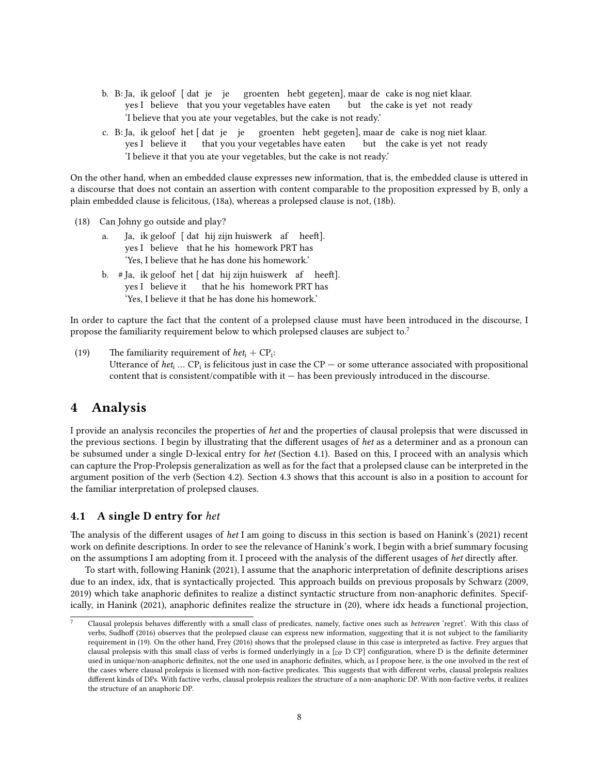- b. B: Ja, ik geloof [ dat je je groenten hebt gegeten], maar de cake is nog niet klaar. yes I believe that you your vegetables have eaten but the cake is yet not ready 'I believe that you ate your vegetables, but the cake is not ready.'
- c. B: Ja, ik geloof het [dat je je groenten hebt gegeten], maar de cake is nog niet klaar. yes I believe it that you your vegetables have eaten but the cake is yet not ready 'I believe it that you ate your vegetables, but the cake is not ready.'

On the other hand, when an embedded clause expresses new information, that is, the embedded clause is uttered in a discourse that does not contain an assertion with content comparable to the proposition expressed by B, only a plain embedded clause is felicitous, (18a), whereas a prolepsed clause is not, (18b).

- (18) Can Johny go outside and play?
	- a. Ja, ik geloof [ dat hij zijn huiswerk af heeft]. yes I believe that he his homework PRT has 'Yes, I believe that he has done his homework.'
	- b. #Ja, ik geloof het [dat hij zijn huiswerk) af heeft]. yes I believe it that he his homework PRT has 'Yes, I believe it that he has done his homework.'

In order to capture the fact that the content of a prolepsed clause must have been introduced in the discourse, I propose the familiarity requirement below to which prolepsed clauses are subject to.<sup>7</sup>

(19) The familiarity requirement of  $het_i + CP_i$ : Utterance of  $het_i$  ... CP<sub>i</sub> is felicitous just in case the CP  $-$  or some utterance associated with propositional content that is consistent/compatible with it — has been previously introduced in the discourse.

### 4 Analysis

I provide an analysis reconciles the properties of het and the properties of clausal prolepsis that were discussed in the previous sections. I begin by illustrating that the different usages of het as a determiner and as a pronoun can be subsumed under a single D-lexical entry for het (Section 4.1). Based on this, I proceed with an analysis which can capture the Prop-Prolepsis generalization as well as for the fact that a prolepsed clause can be interpreted in the argument position of the verb (Section 4.2). Section 4.3 shows that this account is also in a position to account for the familiar interpretation of prolepsed clauses.

#### 4.1 A single D entry for het

The analysis of the different usages of het I am going to discuss in this section is based on Hanink's (2021) recent work on definite descriptions. In order to see the relevance of Hanink's work, I begin with a brief summary focusing on the assumptions I am adopting from it. I proceed with the analysis of the different usages of het directly after.

To start with, following Hanink (2021), I assume that the anaphoric interpretation of definite descriptions arises due to an index, idx, that is syntactically projected. This approach builds on previous proposals by Schwarz (2009, 2019) which take anaphoric definites to realize a distinct syntactic structure from non-anaphoric definites. Specifically, in Hanink (2021), anaphoric definites realize the structure in (20), where idx heads a functional projection,

Clausal prolepsis behaves differently with a small class of predicates, namely, factive ones such as betreuren 'regret'. With this class of verbs, Sudhoff (2016) observes that the prolepsed clause can express new information, suggesting that it is not subject to the familiarity requirement in (19). On the other hand, Frey (2016) shows that the prolepsed clause in this case is interpreted as factive. Frey argues that clausal prolepsis with this small class of verbs is formed underlyingly in a [DP D CP] configuration, where D is the definite determiner used in unique/non-anaphoric definites, not the one used in anaphoric definites, which, as I propose here, is the one involved in the rest of the cases where clausal prolepsis is licensed with non-factive predicates. This suggests that with different verbs, clausal prolepsis realizes different kinds of DPs. With factive verbs, clausal prolepsis realizes the structure of a non-anaphoric DP. With non-factive verbs, it realizes the structure of an anaphoric DP.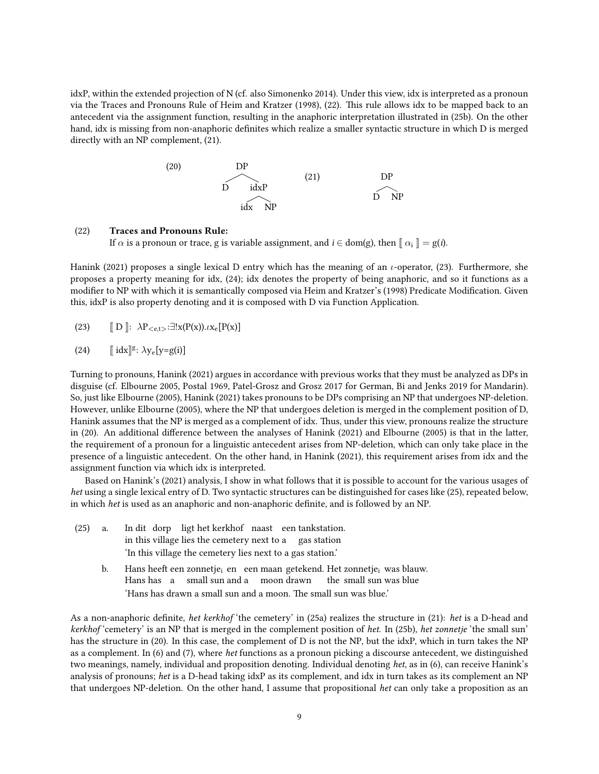idxP, within the extended projection of N (cf. also Simonenko 2014). Under this view, idx is interpreted as a pronoun via the Traces and Pronouns Rule of Heim and Kratzer (1998), (22). This rule allows idx to be mapped back to an antecedent via the assignment function, resulting in the anaphoric interpretation illustrated in (25b). On the other hand, idx is missing from non-anaphoric definites which realize a smaller syntactic structure in which D is merged directly with an NP complement, (21).

$$
(20) \t\t DP
$$
\n
$$
(21) \t\t DP
$$
\n
$$
(22) \t\t DP
$$
\n
$$
(23)
$$
\n
$$
(24)
$$
\n
$$
(25)
$$
\n
$$
(25)
$$
\n
$$
(26)
$$
\n
$$
(27)
$$
\n
$$
(28)
$$

#### (22) Traces and Pronouns Rule:

If  $\alpha$  is a pronoun or trace, g is variable assignment, and  $i \in \text{dom(g)}$ , then  $\lbrack \lbrack \alpha_i \rbrack \rbrack = g(i)$ .

Hanink (2021) proposes a single lexical D entry which has the meaning of an  $\iota$ -operator, (23). Furthermore, she proposes a property meaning for idx, (24); idx denotes the property of being anaphoric, and so it functions as a modifier to NP with which it is semantically composed via Heim and Kratzer's (1998) Predicate Modification. Given this, idxP is also property denoting and it is composed with D via Function Application.

(23)  $\mathbb{D} \colon \lambda P_{\leq \text{e.t.}>} : \exists! x(P(x)). \iota x_{\text{e}}[P(x)]$ 

(24) 
$$
[\![\, idx]\!]^g \colon \lambda y_e[y = g(i)]
$$

Turning to pronouns, Hanink (2021) argues in accordance with previous works that they must be analyzed as DPs in disguise (cf. Elbourne 2005, Postal 1969, Patel-Grosz and Grosz 2017 for German, Bi and Jenks 2019 for Mandarin). So, just like Elbourne (2005), Hanink (2021) takes pronouns to be DPs comprising an NP that undergoes NP-deletion. However, unlike Elbourne (2005), where the NP that undergoes deletion is merged in the complement position of D, Hanink assumes that the NP is merged as a complement of idx. Thus, under this view, pronouns realize the structure in (20). An additional difference between the analyses of Hanink (2021) and Elbourne (2005) is that in the latter, the requirement of a pronoun for a linguistic antecedent arises from NP-deletion, which can only take place in the presence of a linguistic antecedent. On the other hand, in Hanink (2021), this requirement arises from idx and the assignment function via which idx is interpreted.

Based on Hanink's (2021) analysis, I show in what follows that it is possible to account for the various usages of het using a single lexical entry of D. Two syntactic structures can be distinguished for cases like (25), repeated below, in which het is used as an anaphoric and non-anaphoric definite, and is followed by an NP.

- $(25)$  a. in this village lies the cemetery next to a gas station dit dorp ligt het kerkhof naast een tankstation. 'In this village the cemetery lies next to a gas station.'
	- b. Hans heeft een zonnetje<sub>i</sub> en een maan getekend. Het zonnetje<sub>i</sub> was blauw. Hans has a small sun and a moon drawn the small sun was blue 'Hans has drawn a small sun and a moon. The small sun was blue.'

As a non-anaphoric definite, het kerkhof 'the cemetery' in (25a) realizes the structure in (21): het is a D-head and kerkhof 'cemetery' is an NP that is merged in the complement position of het. In (25b), het zonnetje 'the small sun' has the structure in (20). In this case, the complement of D is not the NP, but the idxP, which in turn takes the NP as a complement. In (6) and (7), where het functions as a pronoun picking a discourse antecedent, we distinguished two meanings, namely, individual and proposition denoting. Individual denoting het, as in (6), can receive Hanink's analysis of pronouns; het is a D-head taking idxP as its complement, and idx in turn takes as its complement an NP that undergoes NP-deletion. On the other hand, I assume that propositional het can only take a proposition as an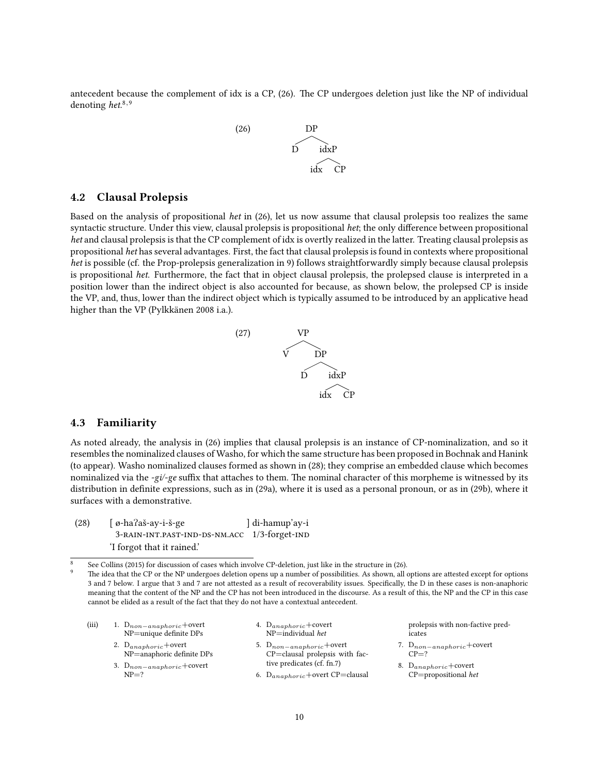antecedent because the complement of idx is a CP, (26). The CP undergoes deletion just like the NP of individual denoting het.<sup>8,9</sup>



#### 4.2 Clausal Prolepsis

Based on the analysis of propositional het in (26), let us now assume that clausal prolepsis too realizes the same syntactic structure. Under this view, clausal prolepsis is propositional het; the only difference between propositional het and clausal prolepsis is that the CP complement of idx is overtly realized in the latter. Treating clausal prolepsis as propositional het has several advantages. First, the fact that clausal prolepsisis found in contexts where propositional het is possible (cf. the Prop-prolepsis generalization in 9) follows straightforwardly simply because clausal prolepsis is propositional het. Furthermore, the fact that in object clausal prolepsis, the prolepsed clause is interpreted in a position lower than the indirect object is also accounted for because, as shown below, the prolepsed CP is inside the VP, and, thus, lower than the indirect object which is typically assumed to be introduced by an applicative head higher than the VP (Pylkkänen 2008 i.a.).



#### 4.3 Familiarity

As noted already, the analysis in (26) implies that clausal prolepsis is an instance of CP-nominalization, and so it resembles the nominalized clauses of Washo, for which the same structure has been proposed in Bochnak and Hanink (to appear). Washo nominalized clauses formed as shown in (28); they comprise an embedded clause which becomes nominalized via the -gi/-ge suffix that attaches to them. The nominal character of this morpheme is witnessed by its distribution in definite expressions, such as in (29a), where it is used as a personal pronoun, or as in (29b), where it surfaces with a demonstrative.

| (28) | $\int \varphi$ -ha?aš-ay-i-š-ge              | di-hamup'ay-i |
|------|----------------------------------------------|---------------|
|      | 3-RAIN-INT.PAST-IND-DS-NM.ACC 1/3-forget-IND |               |
|      | I forgot that it rained.                     |               |

<sup>8</sup> See Collins (2015) for discussion of cases which involve CP-deletion, just like in the structure in (26).

(iii) 1.  $D_{non-anaphoric}$ +overt NP=unique definite DPs 2.  $D_{anaphoric}$ +overt

 $NP = ?$ 

NP=anaphoric definite DPs 3. D<sub>non−anaphoric</sub>+covert

- 4. D<sub>anaphoric</sub>+covert NP=individual het
- 5. Dnon−anaphoric+overt CP=clausal prolepsis with factive predicates (cf. fn.7)
- 6.  $D_{anaphoric}$ +overt CP=clausal

prolepsis with non-factive predicates

- 7. Dnon−anaphoric+covert  $CP-2$
- 8. D<sub>anaphoric</sub>+covert CP=propositional het

The idea that the CP or the NP undergoes deletion opens up a number of possibilities. As shown, all options are attested except for options 3 and 7 below. I argue that 3 and 7 are not attested as a result of recoverability issues. Specifically, the D in these cases is non-anaphoric meaning that the content of the NP and the CP has not been introduced in the discourse. As a result of this, the NP and the CP in this case cannot be elided as a result of the fact that they do not have a contextual antecedent.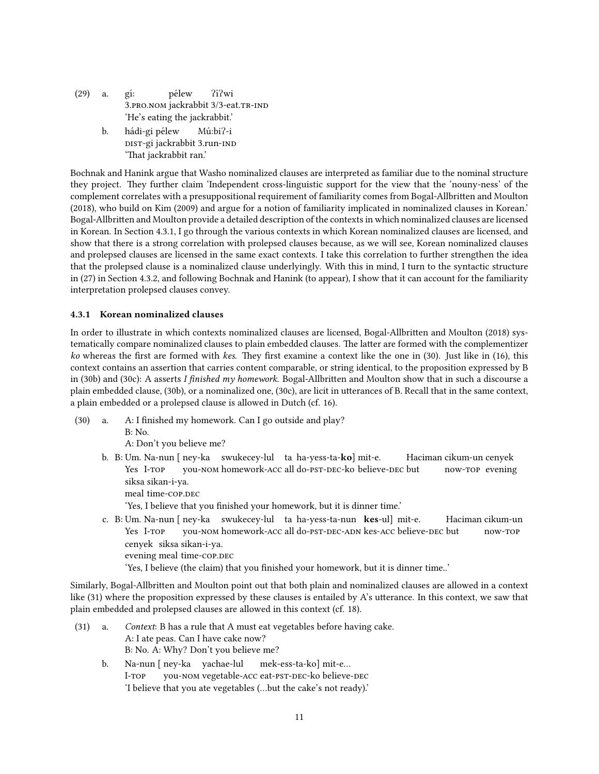(29) a. g´ı: <sup>5</sup>.pro.nom jackrabbit 3/3-eat.tr-IND pélew ?í?wi 'He's eating the jackrabbit.'

b. hádi-gi pélew dist-gi jackrabbit 3.run-ind Mú:bi?-i 'That jackrabbit ran.'

Bochnak and Hanink argue that Washo nominalized clauses are interpreted as familiar due to the nominal structure they project. They further claim 'Independent cross-linguistic support for the view that the 'nouny-ness' of the complement correlates with a presuppositional requirement of familiarity comes from Bogal-Allbritten and Moulton (2018), who build on Kim (2009) and argue for a notion of familiarity implicated in nominalized clauses in Korean.' Bogal-Allbritten and Moulton provide a detailed description of the contexts in which nominalized clauses are licensed in Korean. In Section 4.3.1, I go through the various contexts in which Korean nominalized clauses are licensed, and show that there is a strong correlation with prolepsed clauses because, as we will see, Korean nominalized clauses and prolepsed clauses are licensed in the same exact contexts. I take this correlation to further strengthen the idea that the prolepsed clause is a nominalized clause underlyingly. With this in mind, I turn to the syntactic structure in (27) in Section 4.3.2, and following Bochnak and Hanink (to appear), I show that it can account for the familiarity interpretation prolepsed clauses convey.

#### 4.3.1 Korean nominalized clauses

In order to illustrate in which contexts nominalized clauses are licensed, Bogal-Allbritten and Moulton (2018) systematically compare nominalized clauses to plain embedded clauses. The latter are formed with the complementizer ko whereas the first are formed with kes. They first examine a context like the one in (30). Just like in (16), this context contains an assertion that carries content comparable, or string identical, to the proposition expressed by B in (30b) and (30c): A asserts I finished my homework. Bogal-Allbritten and Moulton show that in such a discourse a plain embedded clause, (30b), or a nominalized one, (30c), are licit in utterances of B. Recall that in the same context, a plain embedded or a prolepsed clause is allowed in Dutch (cf. 16).

(30) a. A: I finished my homework. Can I go outside and play? B: No.

A: Don't you believe me?

b. B: Um. Na-nun [ ney-ka swukecey-lul ta ha-yess-ta-ko] mit-e. Yes I-TOP you-nom homework-acc all do-pst-dec-ko believe-dec but Haciman cikum-un cenyek now-top evening siksa sikan-i-ya.

meal time-cop.dec

'Yes, I believe that you finished your homework, but it is dinner time.'

c. B: Um. Na-nun [ ney-ka swukecey-lul ta ha-yess-ta-nun **kes**-ul] mit-e. Yes I-TOP you-NOM homework-ACC all do-PST-DEC-ADN kes-ACC believe-DEC but Haciman cikum-un now-top cenyek siksa sikan-i-ya. evening meal time-cop.dec

'Yes, I believe (the claim) that you finished your homework, but it is dinner time..'

Similarly, Bogal-Allbritten and Moulton point out that both plain and nominalized clauses are allowed in a context like  $(31)$  where the proposition expressed by these clauses is entailed by A's utterance. In this context, we saw that plain embedded and prolepsed clauses are allowed in this context (cf. 18).

- (31) a. Context: B has a rule that A must eat vegetables before having cake. A: I ate peas. Can I have cake now? B: No. A: Why? Don't you believe me?
	- b. Na-nun [ ney-ka yachae-lul I-top you-nom vegetable-acc eat-pst-dec-ko believe-dec mek-ess-ta-ko] mit-e… 'I believe that you ate vegetables (…but the cake's not ready).'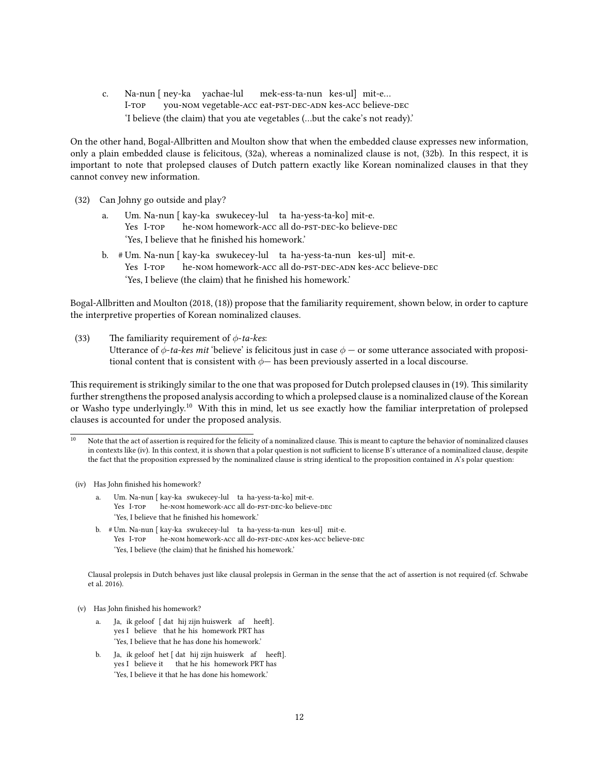c. Na-nun [ ney-ka yachae-lul I-top you-nom vegetable-acc eat-pst-dec-adn kes-acc believe-dec mek-ess-ta-nun kes-ul] mit-e… 'I believe (the claim) that you ate vegetables (…but the cake's not ready).'

On the other hand, Bogal-Allbritten and Moulton show that when the embedded clause expresses new information, only a plain embedded clause is felicitous, (32a), whereas a nominalized clause is not, (32b). In this respect, it is important to note that prolepsed clauses of Dutch pattern exactly like Korean nominalized clauses in that they cannot convey new information.

- (32) Can Johny go outside and play?
	- a. Um. Na-nun [ kay-ka swukecey-lul ta ha-yess-ta-ko] mit-e. Yes I-TOP he-nom homework-ACC all do-PST-DEC-ko believe-DEC 'Yes, I believe that he finished his homework.'
	- b. # Um. Na-nun [ kay-ka swukecey-lul ta ha-yess-ta-nun kes-ul] mit-e. Yes I-TOP he-nom homework-acc all do-ps<mark>t-dec-adn kes-acc believe-dec</mark> 'Yes, I believe (the claim) that he finished his homework.'

Bogal-Allbritten and Moulton (2018, (18)) propose that the familiarity requirement, shown below, in order to capture the interpretive properties of Korean nominalized clauses.

(33) The familiarity requirement of  $\phi$ -ta-kes: Utterance of  $\phi$ -ta-kes mit 'believe' is felicitous just in case  $\phi$  — or some utterance associated with propositional content that is consistent with  $\phi$ — has been previously asserted in a local discourse.

This requirement is strikingly similar to the one that was proposed for Dutch prolepsed clauses in (19). This similarity further strengthens the proposed analysis according to which a prolepsed clause is a nominalized clause of the Korean or Washo type underlyingly.<sup>10</sup> With this in mind, let us see exactly how the familiar interpretation of prolepsed clauses is accounted for under the proposed analysis.

- (iv) Has John finished his homework?
	- a. Um. Na-nun [ kay-ka swukecey-lul ta ha-yess-ta-ko] mit-e. Yes I-TOP he-nom homework-ACC all do-PST-DEC-ko believe-DEC 'Yes, I believe that he finished his homework.'
	- b. # Um. Na-nun [ kay-ka swukecey-lul ta ha-yess-ta-nun kes-ul] mit-e. Yes I-TOP he-nom homework-acc all do-pst-dec-adn kes-acc believe-dec 'Yes, I believe (the claim) that he finished his homework.'

Clausal prolepsis in Dutch behaves just like clausal prolepsis in German in the sense that the act of assertion is not required (cf. Schwabe et al. 2016).

- (v) Has John finished his homework?
	- a. Ja, ik geloof [dat hij zijn huiswerk af heeft]. yes I believe that he his homework PRT has 'Yes, I believe that he has done his homework.'
	- b. Ja, ik geloof het [dat hij zijn huiswerk af heeft]. yes I believe it that he his homework PRT has 'Yes, I believe it that he has done his homework.'

Note that the act of assertion is required for the felicity of a nominalized clause. This is meant to capture the behavior of nominalized clauses in contexts like (iv). In this context, it is shown that a polar question is not sufficient to license B's utterance of a nominalized clause, despite the fact that the proposition expressed by the nominalized clause is string identical to the proposition contained in A's polar question: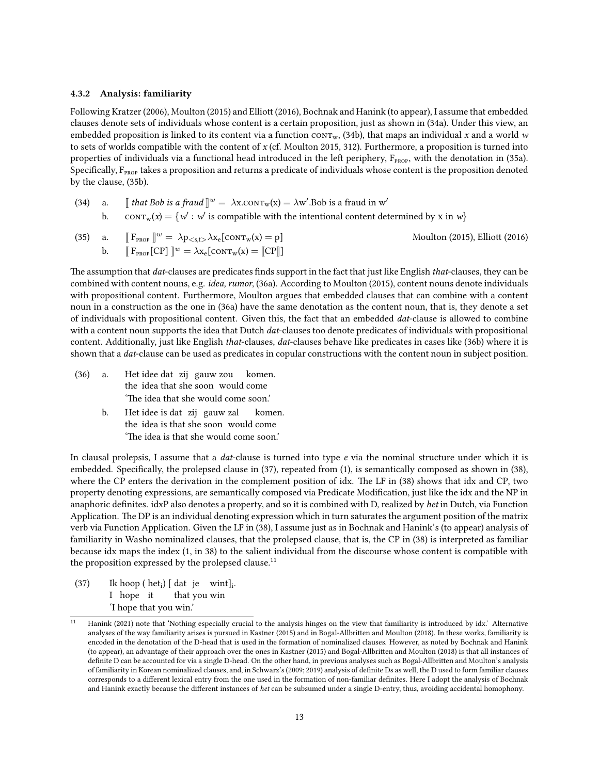#### 4.3.2 Analysis: familiarity

Following Kratzer (2006), Moulton (2015) and Elliott (2016), Bochnak and Hanink (to appear), I assume that embedded clauses denote sets of individuals whose content is a certain proposition, just as shown in (34a). Under this view, an embedded proposition is linked to its content via a function  $conv_w$ , (34b), that maps an individual x and a world w to sets of worlds compatible with the content of  $x$  (cf. Moulton 2015, 312). Furthermore, a proposition is turned into properties of individuals via a functional head introduced in the left periphery,  $F_{\text{prop}}$ , with the denotation in (35a). Specifically,  $F_{\text{prop}}$  takes a proposition and returns a predicate of individuals whose content is the proposition denoted by the clause, (35b).

(34) a.  $\int \int f(x) \, dx$  as the sum of the sum of  $\int u(x) = \lambda x$ . Contrarely  $\int x^2 \cdot dx$ . Bob is a fraud in w' b.  $\text{corr}_{w}(x) = \{w': w' \text{ is compatible with the intentional content determined by } x \text{ in } w\}$ 

(35) a. 
$$
[\![ \mathbf{F}_{\text{PROP}} \!]\!]^w = \lambda p_{\lt s,t} \cdot \lambda x_e [\text{CONT}_w(x) = p]
$$
 Moulton (2015),  $\text{Elliott (2016)}$  b.  $[\![ \mathbf{F}_{\text{PROP}} \![\text{CP}]\!]^w = \lambda x_e [\text{CONT}_w(x) = [\![\text{CP}]\!]]$ 

The assumption that dat-clauses are predicates finds support in the fact that just like English that-clauses, they can be combined with content nouns, e.g. idea, rumor, (36a). According to Moulton (2015), content nouns denote individuals with propositional content. Furthermore, Moulton argues that embedded clauses that can combine with a content noun in a construction as the one in (36a) have the same denotation as the content noun, that is, they denote a set of individuals with propositional content. Given this, the fact that an embedded dat-clause is allowed to combine with a content noun supports the idea that Dutch *dat*-clauses too denote predicates of individuals with propositional content. Additionally, just like English *that-clauses, dat-clauses behave like predicates in cases like (36b)* where it is shown that a *dat*-clause can be used as predicates in copular constructions with the content noun in subject position.

- $(36)$  a. the idea that she soon would come idee dat zij gauw zou komen. 'The idea that she would come soon.'
	- b. Het idee is dat zij gauw zal the idea is that she soon would come komen. 'The idea is that she would come soon.'

In clausal prolepsis, I assume that a *dat*-clause is turned into type  $e$  via the nominal structure under which it is embedded. Specifically, the prolepsed clause in (37), repeated from (1), is semantically composed as shown in (38), where the CP enters the derivation in the complement position of idx. The LF in (38) shows that idx and CP, two property denoting expressions, are semantically composed via Predicate Modification, just like the idx and the NP in anaphoric definites. idxP also denotes a property, and so it is combined with D, realized by het in Dutch, via Function Application. The DP is an individual denoting expression which in turn saturates the argument position of the matrix verb via Function Application. Given the LF in (38), I assume just as in Bochnak and Hanink's (to appear) analysis of familiarity in Washo nominalized clauses, that the prolepsed clause, that is, the CP in (38) is interpreted as familiar because idx maps the index (1, in 38) to the salient individual from the discourse whose content is compatible with the proposition expressed by the prolepsed clause.<sup>11</sup>

 $(37)$ I hope it  $hoop (het<sub>i</sub>) [dat je with]$ <sub>i</sub>. that you win 'I hope that you win.'

<sup>11</sup> Hanink (2021) note that 'Nothing especially crucial to the analysis hinges on the view that familiarity is introduced by idx.' Alternative analyses of the way familiarity arises is pursued in Kastner (2015) and in Bogal-Allbritten and Moulton (2018). In these works, familiarity is encoded in the denotation of the D-head that is used in the formation of nominalized clauses. However, as noted by Bochnak and Hanink (to appear), an advantage of their approach over the ones in Kastner (2015) and Bogal-Allbrien and Moulton (2018) is that all instances of definite D can be accounted for via a single D-head. On the other hand, in previous analyses such as Bogal-Allbritten and Moulton's analysis of familiarity in Korean nominalized clauses, and, in Schwarz's (2009; 2019) analysis of definite Ds as well, the D used to form familiar clauses corresponds to a different lexical entry from the one used in the formation of non-familiar definites. Here I adopt the analysis of Bochnak and Hanink exactly because the different instances of het can be subsumed under a single D-entry, thus, avoiding accidental homophony.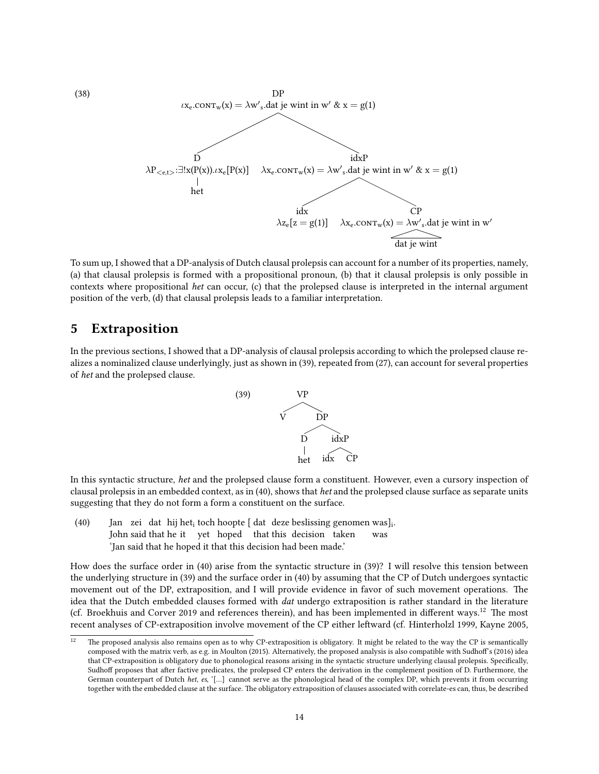

To sum up, I showed that a DP-analysis of Dutch clausal prolepsis can account for a number of its properties, namely, (a) that clausal prolepsis is formed with a propositional pronoun, (b) that it clausal prolepsis is only possible in contexts where propositional het can occur, (c) that the prolepsed clause is interpreted in the internal argument position of the verb, (d) that clausal prolepsis leads to a familiar interpretation.

### 5 Extraposition

In the previous sections, I showed that a DP-analysis of clausal prolepsis according to which the prolepsed clause realizes a nominalized clause underlyingly, just as shown in (39), repeated from (27), can account for several properties of het and the prolepsed clause.



In this syntactic structure, het and the prolepsed clause form a constituent. However, even a cursory inspection of clausal prolepsis in an embedded context, as in (40), shows that het and the prolepsed clause surface as separate units suggesting that they do not form a form a constituent on the surface.

(40) — Jan zei dat hij het<sub>i</sub> toch hoopte [ dat deze beslissing genomen was]<sub>i</sub>. John said that he it yet hoped that this decision taken was 'Jan said that he hoped it that this decision had been made.'

How does the surface order in (40) arise from the syntactic structure in (39)? I will resolve this tension between the underlying structure in (39) and the surface order in (40) by assuming that the CP of Dutch undergoes syntactic movement out of the DP, extraposition, and I will provide evidence in favor of such movement operations. The idea that the Dutch embedded clauses formed with *dat* undergo extraposition is rather standard in the literature (cf. Broekhuis and Corver 2019 and references therein), and has been implemented in different ways.<sup>12</sup> The most recent analyses of CP-extraposition involve movement of the CP either leftward (cf. Hinterholzl 1999, Kayne 2005,

 $12$  The proposed analysis also remains open as to why CP-extraposition is obligatory. It might be related to the way the CP is semantically composed with the matrix verb, as e.g. in Moulton (2015). Alternatively, the proposed analysis is also compatible with Sudhoff's (2016) idea that CP-extraposition is obligatory due to phonological reasons arising in the syntactic structure underlying clausal prolepsis. Specifically, Sudhoff proposes that after factive predicates, the prolepsed CP enters the derivation in the complement position of D. Furthermore, the German counterpart of Dutch het, es, '[…] cannot serve as the phonological head of the complex DP, which prevents it from occurring together with the embedded clause at the surface. The obligatory extraposition of clauses associated with correlate-es can, thus, be described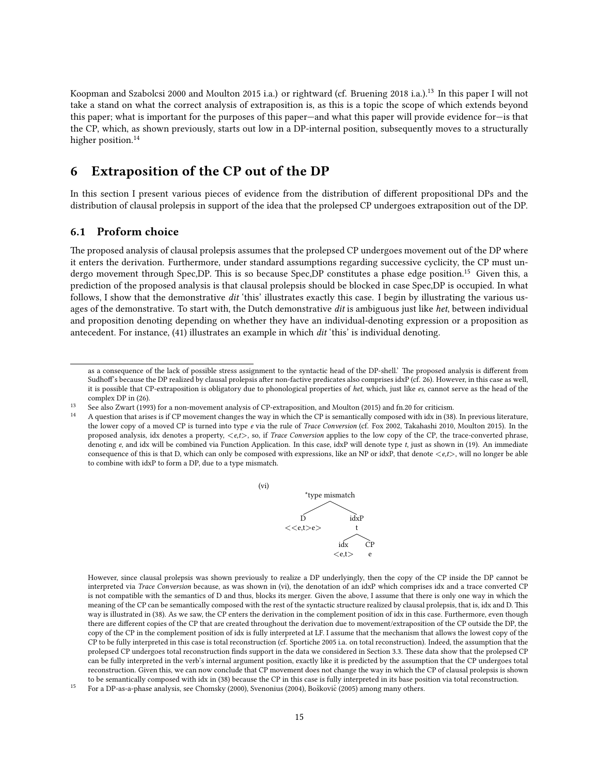Koopman and Szabolcsi 2000 and Moulton 2015 i.a.) or rightward (cf. Bruening 2018 i.a.).<sup>13</sup> In this paper I will not take a stand on what the correct analysis of extraposition is, as this is a topic the scope of which extends beyond this paper; what is important for the purposes of this paper—and what this paper will provide evidence for—is that the CP, which, as shown previously, starts out low in a DP-internal position, subsequently moves to a structurally higher position.<sup>14</sup>

## 6 Extraposition of the CP out of the DP

In this section I present various pieces of evidence from the distribution of different propositional DPs and the distribution of clausal prolepsis in support of the idea that the prolepsed CP undergoes extraposition out of the DP.

#### 6.1 Proform choice

The proposed analysis of clausal prolepsis assumes that the prolepsed CP undergoes movement out of the DP where it enters the derivation. Furthermore, under standard assumptions regarding successive cyclicity, the CP must undergo movement through Spec,DP. This is so because Spec,DP constitutes a phase edge position.<sup>15</sup> Given this, a prediction of the proposed analysis is that clausal prolepsis should be blocked in case Spec,DP is occupied. In what follows, I show that the demonstrative dit 'this' illustrates exactly this case. I begin by illustrating the various usages of the demonstrative. To start with, the Dutch demonstrative dit is ambiguous just like het, between individual and proposition denoting depending on whether they have an individual-denoting expression or a proposition as antecedent. For instance, (41) illustrates an example in which dit 'this' is individual denoting.

(vi)

<sup>14</sup> A question that arises is if CP movement changes the way in which the CP is semantically composed with idx in (38). In previous literature, the lower copy of a moved CP is turned into type e via the rule of Trace Conversion (cf. Fox 2002, Takahashi 2010, Moulton 2015). In the proposed analysis, idx denotes a property,  $\langle e,t \rangle$ , so, if Trace Conversion applies to the low copy of the CP, the trace-converted phrase, denoting e, and idx will be combined via Function Application. In this case, idxP will denote type t, just as shown in (19). An immediate consequence of this is that D, which can only be composed with expressions, like an NP or idxP, that denote  $\langle e, t \rangle$ , will no longer be able to combine with idxP to form a DP, due to a type mismatch.



However, since clausal prolepsis was shown previously to realize a DP underlyingly, then the copy of the CP inside the DP cannot be interpreted via Trace Conversion because, as was shown in (vi), the denotation of an idxP which comprises idx and a trace converted CP is not compatible with the semantics of D and thus, blocks its merger. Given the above, I assume that there is only one way in which the meaning of the CP can be semantically composed with the rest of the syntactic structure realized by clausal prolepsis, that is, idx and D. This way is illustrated in (38). As we saw, the CP enters the derivation in the complement position of idx in this case. Furthermore, even though there are different copies of the CP that are created throughout the derivation due to movement/extraposition of the CP outside the DP, the copy of the CP in the complement position of idx is fully interpreted at LF. I assume that the mechanism that allows the lowest copy of the CP to be fully interpreted in this case is total reconstruction (cf. Sportiche 2005 i.a. on total reconstruction). Indeed, the assumption that the prolepsed CP undergoes total reconstruction finds support in the data we considered in Section 3.3. These data show that the prolepsed CP can be fully interpreted in the verb's internal argument position, exactly like it is predicted by the assumption that the CP undergoes total reconstruction. Given this, we can now conclude that CP movement does not change the way in which the CP of clausal prolepsis is shown to be semantically composed with idx in (38) because the CP in this case is fully interpreted in its base position via total reconstruction.

as a consequence of the lack of possible stress assignment to the syntactic head of the DP-shell.' The proposed analysis is different from Sudhoff's because the DP realized by clausal prolepsis after non-factive predicates also comprises idxP (cf. 26). However, in this case as well, it is possible that CP-extraposition is obligatory due to phonological properties of het, which, just like es, cannot serve as the head of the complex DP in (26).

See also Zwart (1993) for a non-movement analysis of CP-extraposition, and Moulton (2015) and fn.20 for criticism.

For a DP-as-a-phase analysis, see Chomsky (2000), Svenonius (2004), Bošković (2005) among many others.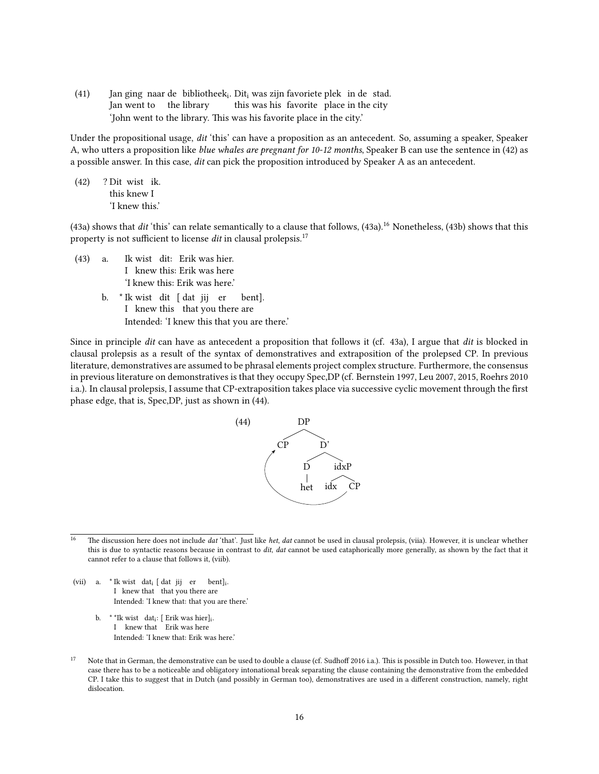(41) Jan ging naar de bibliothee $k_i$ . Dit<sub>i</sub> was zijn favoriete plek in de stad. Jan went to the library this was his favorite place in the city 'John went to the library. This was his favorite place in the city.'

Under the propositional usage, dit 'this' can have a proposition as an antecedent. So, assuming a speaker, Speaker A, who utters a proposition like *blue whales are pregnant for 10-12 months*, Speaker B can use the sentence in (42) as a possible answer. In this case, dit can pick the proposition introduced by Speaker A as an antecedent.

(42) ? Dit wist ik. this knew I 'I knew this.'

 $(43a)$  shows that dit 'this' can relate semantically to a clause that follows,  $(43a)$ .<sup>16</sup> Nonetheless,  $(43b)$  shows that this property is not sufficient to license dit in clausal prolepsis.<sup>17</sup>

- $(43)$  a. I knew this: Erik was here wist dit: Erik was hier. 'I knew this: Erik was here.'
	- b. \* Ik wist dit [ dat jij er I knew this that you there are bent]. Intended: 'I knew this that you are there.'

Since in principle dit can have as antecedent a proposition that follows it (cf. 43a), I argue that dit is blocked in clausal prolepsis as a result of the syntax of demonstratives and extraposition of the prolepsed CP. In previous literature, demonstratives are assumed to be phrasal elements project complex structure. Furthermore, the consensus in previous literature on demonstratives is that they occupy Spec,DP (cf. Bernstein 1997, Leu 2007, 2015, Roehrs 2010 i.a.). In clausal prolepsis, I assume that CP-extraposition takes place via successive cyclic movement through the first phase edge, that is, Spec,DP, just as shown in (44).



<sup>16</sup> The discussion here does not include *dat* 'that'. Just like *het, dat* cannot be used in clausal prolepsis, (viia). However, it is unclear whether this is due to syntactic reasons because in contrast to dit, dat cannot be used cataphorically more generally, as shown by the fact that it cannot refer to a clause that follows it, (viib).

- (vii) a. \* Ik wist dat<sub>i</sub> [ dat jij er bent]<sub>i</sub>. I knew that that you there are Intended: 'I knew that: that you are there.'
	- b. \* \*Ik wist dat<sub>i</sub>: [ Erik was hier]<sub>i</sub>. I knew that Erik was here Intended: 'I knew that: Erik was here.'
- Note that in German, the demonstrative can be used to double a clause (cf. Sudhoff 2016 i.a.). This is possible in Dutch too. However, in that case there has to be a noticeable and obligatory intonational break separating the clause containing the demonstrative from the embedded CP. I take this to suggest that in Dutch (and possibly in German too), demonstratives are used in a different construction, namely, right dislocation.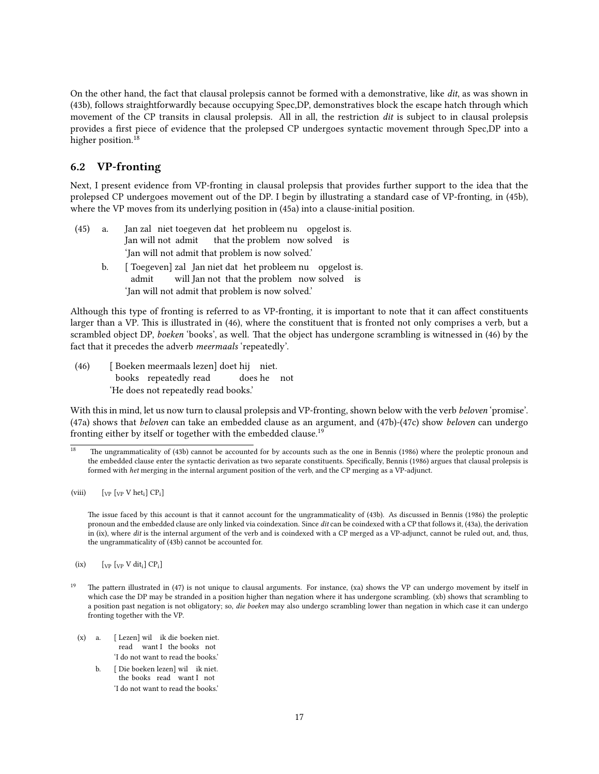On the other hand, the fact that clausal prolepsis cannot be formed with a demonstrative, like dit, as was shown in (43b), follows straightforwardly because occupying Spec,DP, demonstratives block the escape hatch through which movement of the CP transits in clausal prolepsis. All in all, the restriction dit is subject to in clausal prolepsis provides a first piece of evidence that the prolepsed CP undergoes syntactic movement through Spec,DP into a higher position.<sup>18</sup>

### 6.2 VP-fronting

Next, I present evidence from VP-fronting in clausal prolepsis that provides further support to the idea that the prolepsed CP undergoes movement out of the DP. I begin by illustrating a standard case of VP-fronting, in (45b), where the VP moves from its underlying position in (45a) into a clause-initial position.

- $(45)$  a. Jan will not admit zal niet toegeven dat het probleem nu opgelost is. that the problem now solved is 'Jan will not admit that problem is now solved.'
	- b. [ Toegeven] zal Jan niet dat het probleem nu opgelost is. admit will Jan not that the problem now solved is 'Jan will not admit that problem is now solved.'

Although this type of fronting is referred to as VP-fronting, it is important to note that it can affect constituents larger than a VP. This is illustrated in (46), where the constituent that is fronted not only comprises a verb, but a scrambled object DP, boeken 'books', as well. That the object has undergone scrambling is witnessed in (46) by the fact that it precedes the adverb meermaals 'repeatedly'.

(46) [ Boeken meermaals lezen] doet hij niet. books repeatedly read does he not 'He does not repeatedly read books.'

With this in mind, let us now turn to clausal prolepsis and VP-fronting, shown below with the verb beloven 'promise'. (47a) shows that beloven can take an embedded clause as an argument, and (47b)-(47c) show beloven can undergo fronting either by itself or together with the embedded clause.<sup>19</sup>

The issue faced by this account is that it cannot account for the ungrammaticality of (43b). As discussed in Bennis (1986) the proleptic pronoun and the embedded clause are only linked via coindexation. Since dit can be coindexed with a CP that follows it, (43a), the derivation in (ix), where dit is the internal argument of the verb and is coindexed with a CP merged as a VP-adjunct, cannot be ruled out, and, thus, the ungrammaticality of (43b) cannot be accounted for.

(ix)  $[\text{VP} \space V \space \text{d} \text{it}_i] \space \text{CP}_i]$ 

- (x) a. [ Lezen] wil ik die boeken niet. read want I the books not 'I do not want to read the books.'
	- b. [ Die boeken lezen] wil ik niet. the books read want I not 'I do not want to read the books.'

The ungrammaticality of (43b) cannot be accounted for by accounts such as the one in Bennis (1986) where the proleptic pronoun and the embedded clause enter the syntactic derivation as two separate constituents. Specifically, Bennis (1986) argues that clausal prolepsis is formed with het merging in the internal argument position of the verb, and the CP merging as a VP-adjunct.

<sup>(</sup>viii)  $[\text{VP} \text{Vp} \text{V} \text{het}_i] \text{CP}_i]$ 

The pattern illustrated in (47) is not unique to clausal arguments. For instance, (xa) shows the VP can undergo movement by itself in which case the DP may be stranded in a position higher than negation where it has undergone scrambling. (xb) shows that scrambling to a position past negation is not obligatory; so, die boeken may also undergo scrambling lower than negation in which case it can undergo fronting together with the VP.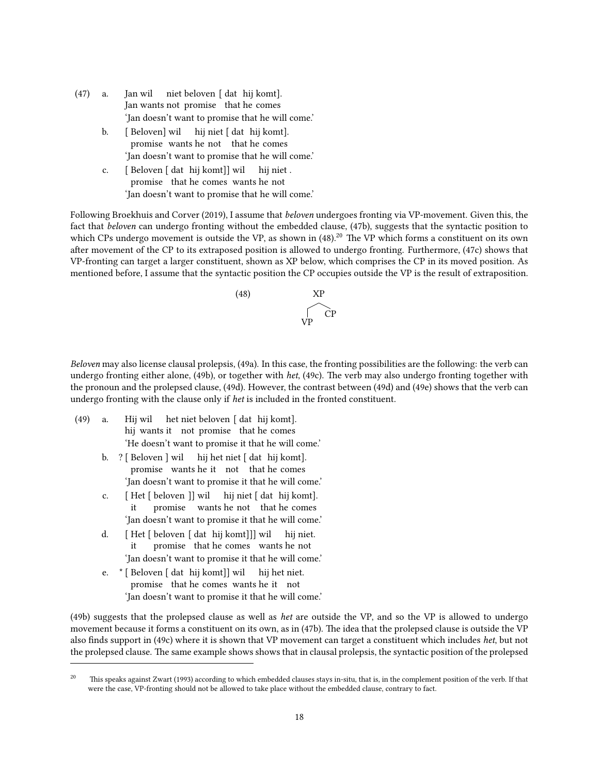- $(47)$  a. Jan wants not promise that he comes wil niet beloven [ dat hij komt]. 'Jan doesn't want to promise that he will come.'
	- b. [ Beloven] wil hij niet [ dat hij komt]. promise wants he not that he comes 'Jan doesn't want to promise that he will come.'
	- c. [ Beloven [ dat hij komt]] wil promise that he comes wants he not hij niet . 'Jan doesn't want to promise that he will come.'

Following Broekhuis and Corver (2019), I assume that beloven undergoes fronting via VP-movement. Given this, the fact that beloven can undergo fronting without the embedded clause, (47b), suggests that the syntactic position to which CPs undergo movement is outside the VP, as shown in (48).<sup>20</sup> The VP which forms a constituent on its own after movement of the CP to its extraposed position is allowed to undergo fronting. Furthermore, (47c) shows that VP-fronting can target a larger constituent, shown as XP below, which comprises the CP in its moved position. As mentioned before, I assume that the syntactic position the CP occupies outside the VP is the result of extraposition.



Beloven may also license clausal prolepsis, (49a). In this case, the fronting possibilities are the following: the verb can undergo fronting either alone, (49b), or together with het, (49c). The verb may also undergo fronting together with the pronoun and the prolepsed clause, (49d). However, the contrast between (49d) and (49e) shows that the verb can undergo fronting with the clause only if het is included in the fronted constituent.

- $(49)$  a. hij wants it not promise that he comes Hij wil het niet beloven [ dat hij komt]. 'He doesn't want to promise it that he will come.'
	- b. ? [ Beloven ] wil promise wants he it not that he comes hij het niet [ dat hij komt]. 'Jan doesn't want to promise it that he will come.'
	- c. [ Het [ beloven ]] wil it promise wants he not that he comes hij niet [ dat hij komt]. 'Jan doesn't want to promise it that he will come.'
	- d. [ Het [ beloven [ dat hij komt]]] wil it promise that he comes wants he not hij niet. 'Jan doesn't want to promise it that he will come.'
	- e. \* [ Beloven [ dat hij komt]] wil promise that he comes wants he it not hij het niet. 'Jan doesn't want to promise it that he will come.'

(49b) suggests that the prolepsed clause as well as het are outside the VP, and so the VP is allowed to undergo movement because it forms a constituent on its own, as in (47b). The idea that the prolepsed clause is outside the VP also finds support in (49c) where it is shown that VP movement can target a constituent which includes het, but not the prolepsed clause. The same example shows shows that in clausal prolepsis, the syntactic position of the prolepsed

<sup>&</sup>lt;sup>20</sup> This speaks against Zwart (1993) according to which embedded clauses stays in-situ, that is, in the complement position of the verb. If that were the case, VP-fronting should not be allowed to take place without the embedded clause, contrary to fact.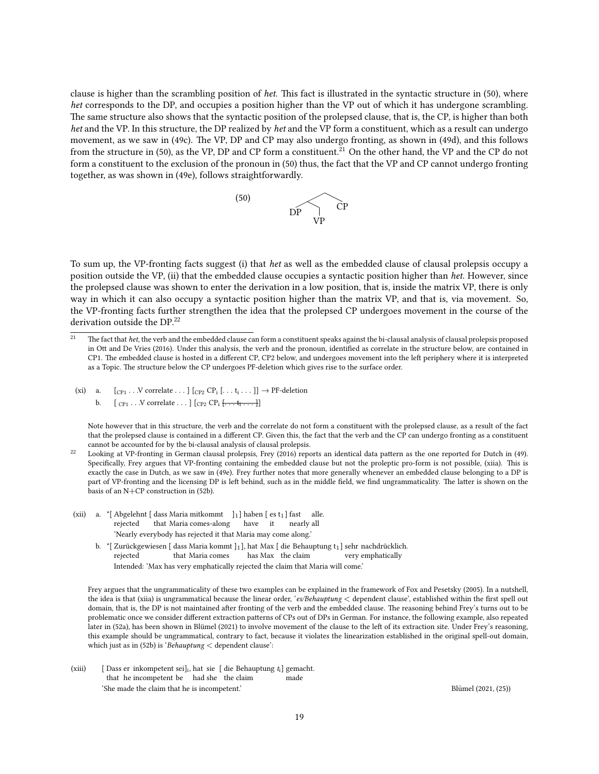clause is higher than the scrambling position of het. This fact is illustrated in the syntactic structure in (50), where het corresponds to the DP, and occupies a position higher than the VP out of which it has undergone scrambling. The same structure also shows that the syntactic position of the prolepsed clause, that is, the CP, is higher than both het and the VP. In this structure, the DP realized by het and the VP form a constituent, which as a result can undergo movement, as we saw in (49c). The VP, DP and CP may also undergo fronting, as shown in (49d), and this follows from the structure in (50), as the VP, DP and CP form a constituent.<sup>21</sup> On the other hand, the VP and the CP do not form a constituent to the exclusion of the pronoun in (50) thus, the fact that the VP and CP cannot undergo fronting together, as was shown in (49e), follows straightforwardly.



To sum up, the VP-fronting facts suggest (i) that het as well as the embedded clause of clausal prolepsis occupy a position outside the VP, (ii) that the embedded clause occupies a syntactic position higher than het. However, since the prolepsed clause was shown to enter the derivation in a low position, that is, inside the matrix VP, there is only way in which it can also occupy a syntactic position higher than the matrix VP, and that is, via movement. So, the VP-fronting facts further strengthen the idea that the prolepsed CP undergoes movement in the course of the derivation outside the DP.<sup>22</sup>

- (xi) a.  $[c_{P1} \dots V \text{ correlate} \dots] [c_{P2} \text{ CP}_1 [\dots t_i \dots]] \rightarrow \text{PF-deletion}$ 
	- b.  $[$   $_{\text{CP1}} \ldots$  V correlate  $\ldots$   $]$   $[$   $_{\text{CP2}}$   $\text{CP}_i$   $\overline{\{\ldots, t_i \ldots\}}$

Note however that in this structure, the verb and the correlate do not form a constituent with the prolepsed clause, as a result of the fact that the prolepsed clause is contained in a different CP. Given this, the fact that the verb and the CP can undergo fronting as a constituent cannot be accounted for by the bi-clausal analysis of clausal prolepsis.

- (xii) a. \* [Abgelehnt [dass Maria mitkommt  $]_1$ ] haben [es t<sub>1</sub>] fast alle. rejected that Maria comes-along have it nearly all 'Nearly everybody has rejected it that Maria may come along.'
	- b.  $\cdot$  "[ Zurückgewiesen [ dass Maria kommt ]1], hat Max [ die Behauptung t1] sehr nachdrücklich. rejected that Maria comes has Max the claim very emphatically Intended: 'Max has very emphatically rejected the claim that Maria will come.'

Frey argues that the ungrammaticality of these two examples can be explained in the framework of Fox and Pesetsky (2005). In a nutshell, the idea is that (xiia) is ungrammatical because the linear order, 'es/Behauptung < dependent clause', established within the first spell out domain, that is, the DP is not maintained after fronting of the verb and the embedded clause. The reasoning behind Frey's turns out to be problematic once we consider different extraction patterns of CPs out of DPs in German. For instance, the following example, also repeated later in (52a), has been shown in Blümel (2021) to involve movement of the clause to the left of its extraction site. Under Frey's reasoning, this example should be ungrammatical, contrary to fact, because it violates the linearization established in the original spell-out domain, which just as in (52b) is 'Behauptung < dependent clause':

(xiii) [Dass er inkompetent sei]<sub>i</sub>, hat sie [ die Behauptung  $t_i$ ] gemacht. that he incompetent be had she the claim made 'She made the claim that he is incompetent.' Blumel (2021, (25)) "Blumel (2021, (25))

 $\frac{21}{21}$  The fact that *het*, the verb and the embedded clause can form a constituent speaks against the bi-clausal analysis of clausal prolepsis proposed in Ott and De Vries (2016). Under this analysis, the verb and the pronoun, identified as correlate in the structure below, are contained in CP1. The embedded clause is hosted in a different CP, CP2 below, and undergoes movement into the left periphery where it is interpreted as a Topic. The structure below the CP undergoes PF-deletion which gives rise to the surface order.

<sup>&</sup>lt;sup>22</sup> Looking at VP-fronting in German clausal prolepsis, Frey (2016) reports an identical data pattern as the one reported for Dutch in (49). Specifically, Frey argues that VP-fronting containing the embedded clause but not the proleptic pro-form is not possible, (xiia). This is exactly the case in Dutch, as we saw in (49e). Frey further notes that more generally whenever an embedded clause belonging to a DP is part of VP-fronting and the licensing DP is left behind, such as in the middle field, we find ungrammaticality. The latter is shown on the basis of an N+CP construction in (52b).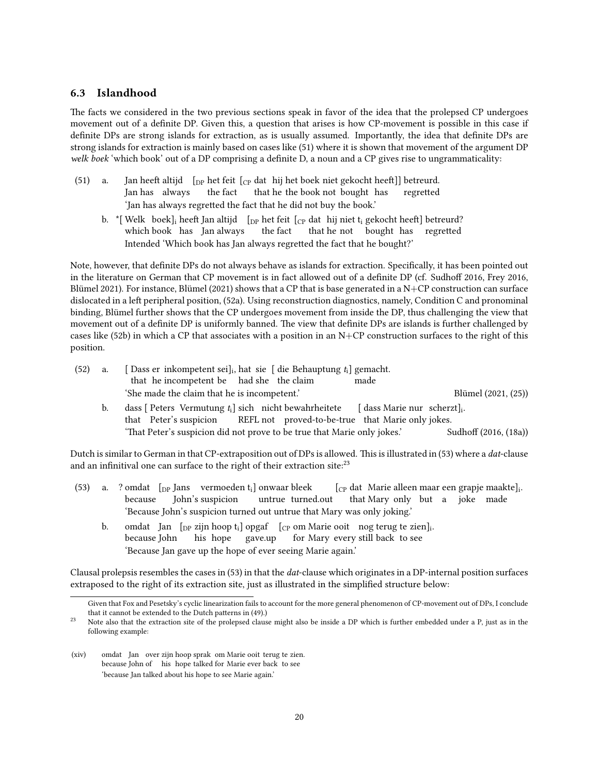#### 6.3 Islandhood

The facts we considered in the two previous sections speak in favor of the idea that the prolepsed CP undergoes movement out of a definite DP. Given this, a question that arises is how CP-movement is possible in this case if definite DPs are strong islands for extraction, as is usually assumed. Importantly, the idea that definite DPs are strong islands for extraction is mainly based on cases like (51) where it is shown that movement of the argument DP welk boek 'which book' out of a DP comprising a definite D, a noun and a CP gives rise to ungrammaticality:

- $(51)$  a. Jan has always heeft altijd  $\rm [_{DP}$  het feit  $\rm [_{CP}$  dat  $\rm [$  hij het boek niet gekocht heeft]] betreurd. the fact that he the book not bought has regretted 'Jan has always regretted the fact that he did not buy the book.'
	- b.  $\vert$ \*[Welk boek] $_{\rm i}$  heeft Jan altijd  $\vert$  [ $_{\rm DP}$  het feit [ $_{\rm CP}$  dat  $\vert$  hij niet t $_{\rm i}$  gekocht heeft] betreurd? which book has Jan always the fact that he not bought has regretted Intended 'Which book has Jan always regretted the fact that he bought?'

Note, however, that definite DPs do not always behave as islands for extraction. Specifically, it has been pointed out in the literature on German that CP movement is in fact allowed out of a definite DP (cf. Sudhoff 2016, Frey 2016, Blümel 2021). For instance, Blümel (2021) shows that a CP that is base generated in a N+CP construction can surface dislocated in a left peripheral position, (52a). Using reconstruction diagnostics, namely, Condition C and pronominal binding, Blümel further shows that the CP undergoes movement from inside the DP, thus challenging the view that movement out of a definite DP is uniformly banned. The view that definite DPs are islands is further challenged by cases like (52b) in which a CP that associates with a position in an  $N+CP$  construction surfaces to the right of this position.

| $(52)$ a. | [Dass er inkompetent sei], hat sie [ die Behauptung $t_i$ ] gemacht. |                               |                     |
|-----------|----------------------------------------------------------------------|-------------------------------|---------------------|
|           | that he incompetent be had she the claim                             | made                          |                     |
|           | 'She made the claim that he is incompetent.'                         |                               | Blümel (2021, (25)) |
|           | dass Deters Vermutung t sich nicht bewahrheitete                     | . [ dass Marie nur_scherzt] ا |                     |

b. dass that Peter's suspicion [ Peters Vermutung  $t_i$ ] sich nicht bewahrheitete REFL not proved-to-be-true that Marie only jokes. [ dass Marie nur scherzt]<sup>i</sup> . 'That Peter's suspicion did not prove to be true that Marie only jokes.' Sudhoff (2016, (18a))

Dutch is similar to German in that CP-extraposition out of DPs is allowed. This is illustrated in (53) where a *dat*-clause and an infinitival one can surface to the right of their extraction site: $^{23}$ 

- (53) a. ? omdat [DP Jans vermoeden ti] onwaar bleek because John's suspicion untrue turned.out [CP dat Marie alleen maar een grapje maakte]<sup>i</sup> . that Mary only but a joke made 'Because John's suspicion turned out untrue that Mary was only joking.'
	- b. omdat Jan  $\left[$ <sub>DP</sub> zijn hoop t<sub>i</sub>] opgaf  $\left[$ <sub>CP</sub> om Marie ooit nog terug te zien]<sub>i</sub>. because John his hope gave.up for Mary every still back to see 'Because Jan gave up the hope of ever seeing Marie again.'

Clausal prolepsis resembles the cases in (53) in that the dat-clause which originates in a DP-internal position surfaces extraposed to the right of its extraction site, just as illustrated in the simplified structure below:

Given that Fox and Pesetsky's cyclic linearization fails to account for the more general phenomenon of CP-movement out of DPs, I conclude that it cannot be extended to the Dutch patterns in (49).)

<sup>&</sup>lt;sup>23</sup> Note also that the extraction site of the prolepsed clause might also be inside a DP which is further embedded under a P, just as in the following example:

<sup>(</sup>xiv) omdat Jan over zijn hoop sprak om Marie ooit terug te zien. because John of his hope talked for Marie ever back to see 'because Jan talked about his hope to see Marie again.'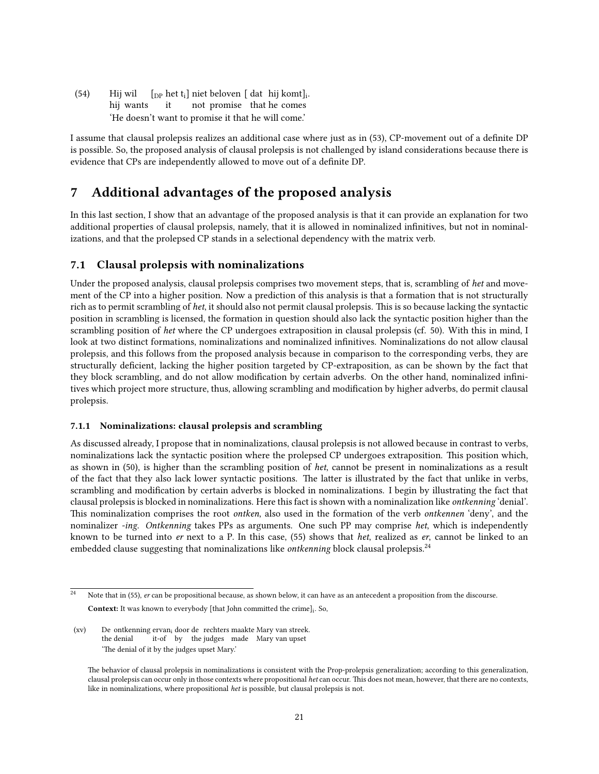$(54)$ hij wants wil [<sub>DP</sub> het t<sub>i</sub>] niet beloven [ dat hij komt]<sub>i</sub>. it not promise that he comes 'He doesn't want to promise it that he will come.'

I assume that clausal prolepsis realizes an additional case where just as in (53), CP-movement out of a definite DP is possible. So, the proposed analysis of clausal prolepsis is not challenged by island considerations because there is evidence that CPs are independently allowed to move out of a definite DP.

# 7 Additional advantages of the proposed analysis

In this last section, I show that an advantage of the proposed analysis is that it can provide an explanation for two additional properties of clausal prolepsis, namely, that it is allowed in nominalized infinitives, but not in nominalizations, and that the prolepsed CP stands in a selectional dependency with the matrix verb.

### 7.1 Clausal prolepsis with nominalizations

Under the proposed analysis, clausal prolepsis comprises two movement steps, that is, scrambling of het and movement of the CP into a higher position. Now a prediction of this analysis is that a formation that is not structurally rich as to permit scrambling of het, it should also not permit clausal prolepsis. This is so because lacking the syntactic position in scrambling is licensed, the formation in question should also lack the syntactic position higher than the scrambling position of het where the CP undergoes extraposition in clausal prolepsis (cf. 50). With this in mind, I look at two distinct formations, nominalizations and nominalized infinitives. Nominalizations do not allow clausal prolepsis, and this follows from the proposed analysis because in comparison to the corresponding verbs, they are structurally deficient, lacking the higher position targeted by CP-extraposition, as can be shown by the fact that they block scrambling, and do not allow modification by certain adverbs. On the other hand, nominalized infinitives which project more structure, thus, allowing scrambling and modification by higher adverbs, do permit clausal prolepsis.

#### 7.1.1 Nominalizations: clausal prolepsis and scrambling

As discussed already, I propose that in nominalizations, clausal prolepsis is not allowed because in contrast to verbs, nominalizations lack the syntactic position where the prolepsed CP undergoes extraposition. This position which, as shown in (50), is higher than the scrambling position of het, cannot be present in nominalizations as a result of the fact that they also lack lower syntactic positions. The latter is illustrated by the fact that unlike in verbs, scrambling and modification by certain adverbs is blocked in nominalizations. I begin by illustrating the fact that clausal prolepsis is blocked in nominalizations. Here this fact is shown with a nominalization like ontkenning 'denial'. This nominalization comprises the root *ontken*, also used in the formation of the verb *ontkennen* 'deny', and the nominalizer -ing. Ontkenning takes PPs as arguments. One such PP may comprise het, which is independently known to be turned into er next to a P. In this case, (55) shows that het, realized as er, cannot be linked to an embedded clause suggesting that nominalizations like *ontkenning* block clausal prolepsis.<sup>24</sup>

Note that in (55), er can be propositional because, as shown below, it can have as an antecedent a proposition from the discourse. **Context:** It was known to everybody [that John committed the crime] $_{i}$ . So,

 $(xv)$ the denial ontkenning ervan<sub>i</sub> door de rechters maakte Mary van streek. it-of by the judges made Mary van upset 'The denial of it by the judges upset Mary.'

The behavior of clausal prolepsis in nominalizations is consistent with the Prop-prolepsis generalization; according to this generalization, clausal prolepsis can occur only in those contexts where propositional het can occur. This does not mean, however, that there are no contexts, like in nominalizations, where propositional het is possible, but clausal prolepsis is not.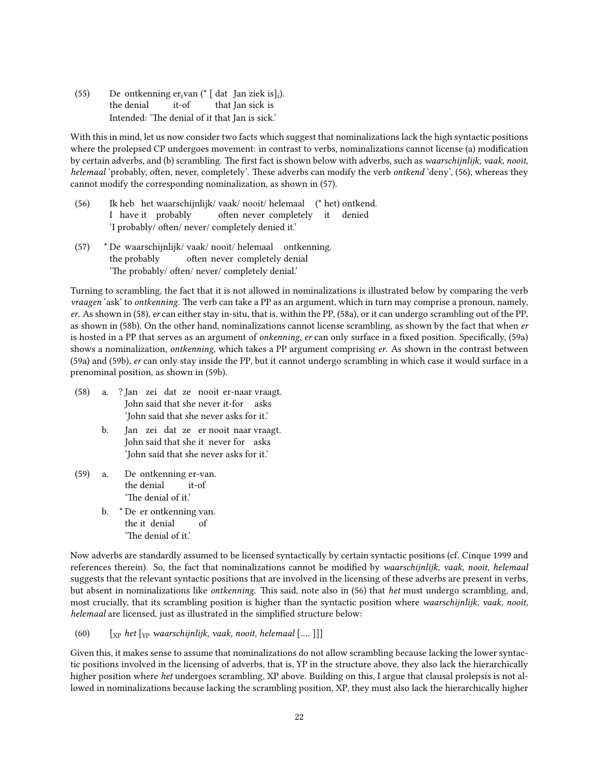$(55)$ the denial ontkenning er<sub>i</sub>van (\* [ dat Jan ziek is]<sub>i</sub>). it-of that Jan sick is Intended: 'The denial of it that Jan is sick.'

With this in mind, let us now consider two facts which suggest that nominalizations lack the high syntactic positions where the prolepsed CP undergoes movement: in contrast to verbs, nominalizations cannot license (a) modification by certain adverbs, and (b) scrambling. The first fact is shown below with adverbs, such as waarschijnlijk, vaak, nooit, helemaal 'probably, often, never, completely'. These adverbs can modify the verb ontkend 'deny', (56), whereas they cannot modify the corresponding nominalization, as shown in (57).

- $(56)$ I have it probably heb het waarschijnlijk/ vaak/ nooit/ helemaal (\* het) ontkend. often never completely it denied 'I probably/ often/ never/ completely denied it.'
- (57) \* De waarschijnlijk/ vaak/ nooit/ helemaal ontkenning. the probably often never completely denial 'The probably/ often/ never/ completely denial.'

Turning to scrambling, the fact that it is not allowed in nominalizations is illustrated below by comparing the verb vraagen 'ask' to ontkenning. The verb can take a PP as an argument, which in turn may comprise a pronoun, namely, er. As shown in (58), er can either stay in-situ, that is, within the PP, (58a), or it can undergo scrambling out of the PP, as shown in (58b). On the other hand, nominalizations cannot license scrambling, as shown by the fact that when er is hosted in a PP that serves as an argument of onkenning, er can only surface in a fixed position. Specifically, (59a) shows a nominalization, ontkenning, which takes a PP argument comprising er. As shown in the contrast between (59a) and (59b), er can only stay inside the PP, but it cannot undergo scrambling in which case it would surface in a prenominal position, as shown in (59b).

- (58) a. ? Jan zei dat ze nooit er-naar vraagt. John said that she never it-for asks 'John said that she never asks for it.'
	- b. Jan zei dat ze er nooit naar vraagt. John said that she it never for asks 'John said that she never asks for it.'
- $(59)$  a. the denial ontkenning er-van. it-of 'The denial of it.'
	- b. \* De er ontkenning van. the it denial of 'The denial of it.'

Now adverbs are standardly assumed to be licensed syntactically by certain syntactic positions (cf. Cinque 1999 and references therein). So, the fact that nominalizations cannot be modified by waarschijnlijk, vaak, nooit, helemaal suggests that the relevant syntactic positions that are involved in the licensing of these adverbs are present in verbs, but absent in nominalizations like *ontkenning*. This said, note also in (56) that *het* must undergo scrambling, and, most crucially, that its scrambling position is higher than the syntactic position where waarschijnlijk, vaak, nooit, helemaal are licensed, just as illustrated in the simplified structure below:

(60)  $\left[\begin{array}{cc} \begin{bmatrix} \begin{bmatrix} \begin{bmatrix} \begin{bmatrix} \begin{bmatrix} \begin{bmatrix} \end{bmatrix} \end{bmatrix} & \begin{bmatrix} \end{bmatrix} & \end{bmatrix} \\ \begin{bmatrix} \begin{bmatrix} \begin{bmatrix} \end{bmatrix} & \begin{bmatrix} \end{bmatrix} & \begin{bmatrix} \end{bmatrix} & \begin{bmatrix} \end{bmatrix} & \begin{bmatrix} \end{bmatrix} & \begin{bmatrix} \end{bmatrix} & \begin{bmatrix} \end{bmatrix} & \begin{bmatrix} \end{bmatrix} & \begin{bmatrix} \end{bmatrix} & \begin{bmatrix} \end$ 

Given this, it makes sense to assume that nominalizations do not allow scrambling because lacking the lower syntactic positions involved in the licensing of adverbs, that is, YP in the structure above, they also lack the hierarchically higher position where het undergoes scrambling, XP above. Building on this, I argue that clausal prolepsis is not allowed in nominalizations because lacking the scrambling position, XP, they must also lack the hierarchically higher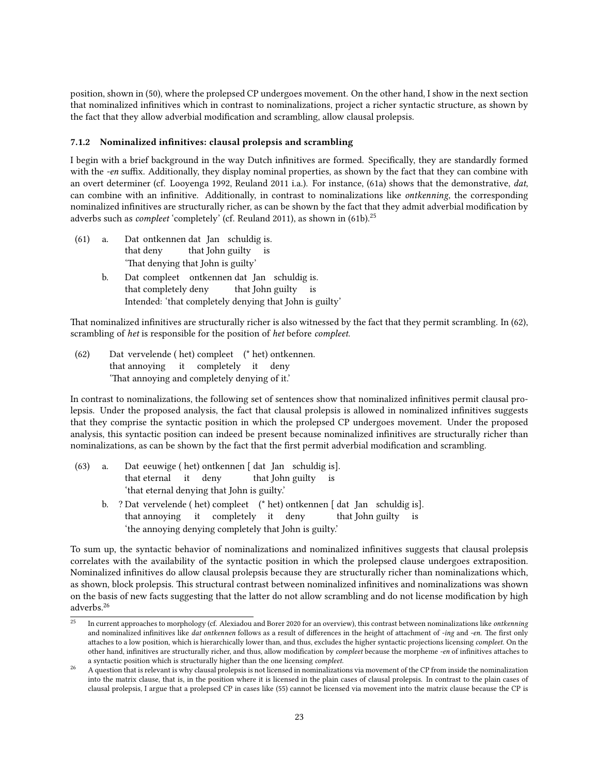position, shown in (50), where the prolepsed CP undergoes movement. On the other hand, I show in the next section that nominalized infinitives which in contrast to nominalizations, project a richer syntactic structure, as shown by the fact that they allow adverbial modification and scrambling, allow clausal prolepsis.

#### 7.1.2 Nominalized infinitives: clausal prolepsis and scrambling

I begin with a brief background in the way Dutch infinitives are formed. Specifically, they are standardly formed with the -en suffix. Additionally, they display nominal properties, as shown by the fact that they can combine with an overt determiner (cf. Looyenga 1992, Reuland 2011 i.a.). For instance, (61a) shows that the demonstrative, dat, can combine with an infinitive. Additionally, in contrast to nominalizations like ontkenning, the corresponding nominalized infinitives are structurally richer, as can be shown by the fact that they admit adverbial modification by adverbs such as *compleet* 'completely' (cf. Reuland 2011), as shown in  $(61b)^{25}$ 

- $(61)$  a. that deny ontkennen dat Jan schuldig is. that John guilty is 'That denying that John is guilty'
	- b. Dat compleet ontkennen dat Jan schuldig is. that completely deny that John guilty is Intended: 'that completely denying that John is guilty'

That nominalized infinitives are structurally richer is also witnessed by the fact that they permit scrambling. In (62), scrambling of het is responsible for the position of het before compleet.

 $(62)$ that annoying it completely it deny vervelende ( het) compleet (\* het) ontkennen. 'That annoying and completely denying of it.'

In contrast to nominalizations, the following set of sentences show that nominalized infinitives permit clausal prolepsis. Under the proposed analysis, the fact that clausal prolepsis is allowed in nominalized infinitives suggests that they comprise the syntactic position in which the prolepsed CP undergoes movement. Under the proposed analysis, this syntactic position can indeed be present because nominalized infinitives are structurally richer than nominalizations, as can be shown by the fact that the first permit adverbial modification and scrambling.

- $(63)$  a. that eternal it deny eeuwige ( het) ontkennen [ dat Jan schuldig is]. that John guilty is 'that eternal denying that John is guilty.'
	- b. ? Dat vervelende ( het) compleet (\* het) ontkennen [ dat Jan schuldig is]. that annoying it completely it deny that John guilty is 'the annoying denying completely that John is guilty.'

To sum up, the syntactic behavior of nominalizations and nominalized infinitives suggests that clausal prolepsis correlates with the availability of the syntactic position in which the prolepsed clause undergoes extraposition. Nominalized infinitives do allow clausal prolepsis because they are structurally richer than nominalizations which, as shown, block prolepsis. This structural contrast between nominalized infinitives and nominalizations was shown on the basis of new facts suggesting that the latter do not allow scrambling and do not license modification by high adverbs.<sup>26</sup>

 $^{25}$  In current approaches to morphology (cf. Alexiadou and Borer 2020 for an overview), this contrast between nominalizations like *ontkenning* and nominalized infinitives like *dat ontkennen* follows as a result of differences in the height of attachment of -ing and -en. The first only attaches to a low position, which is hierarchically lower than, and thus, excludes the higher syntactic projections licensing compleet. On the other hand, infinitives are structurally richer, and thus, allow modification by *compleet* because the morpheme -en of infinitives attaches to a syntactic position which is structurally higher than the one licensing compleet.

<sup>26</sup> A question that is relevant is why clausal prolepsis is not licensed in nominalizations via movement of the CP from inside the nominalization into the matrix clause, that is, in the position where it is licensed in the plain cases of clausal prolepsis. In contrast to the plain cases of clausal prolepsis, I argue that a prolepsed CP in cases like (55) cannot be licensed via movement into the matrix clause because the CP is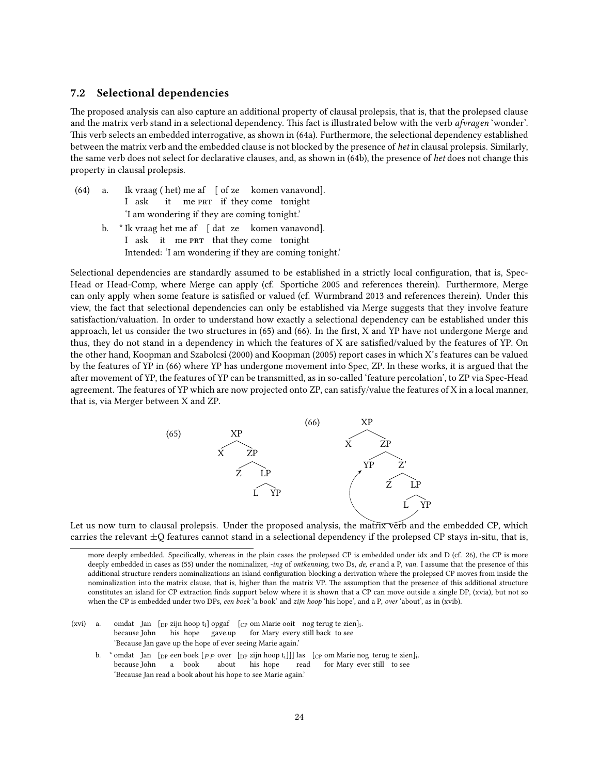#### 7.2 Selectional dependencies

e proposed analysis can also capture an additional property of clausal prolepsis, that is, that the prolepsed clause and the matrix verb stand in a selectional dependency. This fact is illustrated below with the verb afvragen 'wonder'. This verb selects an embedded interrogative, as shown in (64a). Furthermore, the selectional dependency established between the matrix verb and the embedded clause is not blocked by the presence of het in clausal prolepsis. Similarly, the same verb does not select for declarative clauses, and, as shown in (64b), the presence of het does not change this property in clausal prolepsis.

- $(64)$  a. I ask vraag ( het) me af [ of ze komen vanavond]. it me PRT if they come tonight 'I am wondering if they are coming tonight.'
	- b. \* Ik vraag het me af [ dat ze komen vanavond]. I ask it me PRT that they come tonight Intended: 'I am wondering if they are coming tonight.'

Selectional dependencies are standardly assumed to be established in a strictly local configuration, that is, Spec-Head or Head-Comp, where Merge can apply (cf. Sportiche 2005 and references therein). Furthermore, Merge can only apply when some feature is satisfied or valued (cf. Wurmbrand 2013 and references therein). Under this view, the fact that selectional dependencies can only be established via Merge suggests that they involve feature satisfaction/valuation. In order to understand how exactly a selectional dependency can be established under this approach, let us consider the two structures in (65) and (66). In the first, X and YP have not undergone Merge and thus, they do not stand in a dependency in which the features of X are satisfied/valued by the features of YP. On the other hand, Koopman and Szabolcsi (2000) and Koopman (2005) report cases in which X's features can be valued by the features of YP in (66) where YP has undergone movement into Spec, ZP. In these works, it is argued that the after movement of YP, the features of YP can be transmitted, as in so-called 'feature percolation', to ZP via Spec-Head agreement. The features of YP which are now projected onto ZP, can satisfy/value the features of X in a local manner, that is, via Merger between X and ZP.



Let us now turn to clausal prolepsis. Under the proposed analysis, the matrix verb and the embedded CP, which carries the relevant  $\pm Q$  features cannot stand in a selectional dependency if the prolepsed CP stays in-situ, that is,

- $(xvi)$  a. because John Jan  $\left[$ <sub>DP</sub> zijn hoop t<sub>i</sub>] opgaf  $\left[$ <sub>CP</sub> om Marie ooit nog terug te zien]<sub>i</sub>. his hope gave.up for Mary every still back to see 'Because Jan gave up the hope of ever seeing Marie again.'
	- b.  $*$  omdat Jan  $[p$  een boek  $[p_P$  over  $[p$  zijn hoop t<sub>i</sub>]]] las  $[p$  om Marie nog terug te zien]<sub>i</sub>. because John a book about his hope read for Mary ever still to see 'Because Jan read a book about his hope to see Marie again.'

more deeply embedded. Specifically, whereas in the plain cases the prolepsed CP is embedded under idx and D (cf. 26), the CP is more deeply embedded in cases as (55) under the nominalizer, -ing of ontkenning, two Ds, de, er and a P, van. I assume that the presence of this additional structure renders nominalizations an island configuration blocking a derivation where the prolepsed CP moves from inside the nominalization into the matrix clause, that is, higher than the matrix VP. The assumption that the presence of this additional structure constitutes an island for CP extraction finds support below where it is shown that a CP can move outside a single DP, (xvia), but not so when the CP is embedded under two DPs, een boek 'a book' and zijn hoop 'his hope', and a P, over 'about', as in (xvib).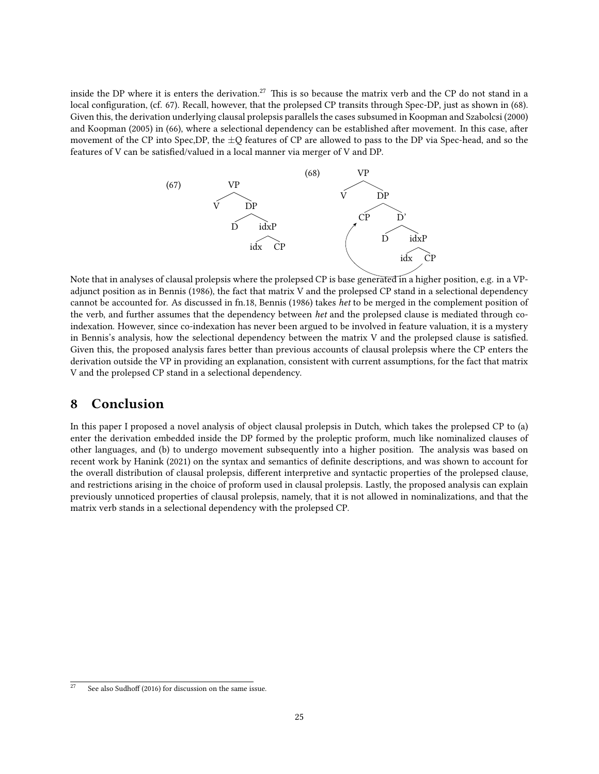inside the DP where it is enters the derivation.<sup>27</sup> This is so because the matrix verb and the CP do not stand in a local configuration, (cf. 67). Recall, however, that the prolepsed CP transits through Spec-DP, just as shown in (68). Given this, the derivation underlying clausal prolepsis parallels the cases subsumed in Koopman and Szabolcsi (2000) and Koopman (2005) in (66), where a selectional dependency can be established after movement. In this case, after movement of the CP into Spec,DP, the ±Q features of CP are allowed to pass to the DP via Spec-head, and so the features of V can be satisfied/valued in a local manner via merger of V and DP.



Note that in analyses of clausal prolepsis where the prolepsed CP is base generated in a higher position, e.g. in a VPadjunct position as in Bennis (1986), the fact that matrix V and the prolepsed CP stand in a selectional dependency cannot be accounted for. As discussed in fn.18, Bennis (1986) takes het to be merged in the complement position of the verb, and further assumes that the dependency between het and the prolepsed clause is mediated through coindexation. However, since co-indexation has never been argued to be involved in feature valuation, it is a mystery in Bennis's analysis, how the selectional dependency between the matrix V and the prolepsed clause is satisfied. Given this, the proposed analysis fares better than previous accounts of clausal prolepsis where the CP enters the derivation outside the VP in providing an explanation, consistent with current assumptions, for the fact that matrix V and the prolepsed CP stand in a selectional dependency.

### 8 Conclusion

In this paper I proposed a novel analysis of object clausal prolepsis in Dutch, which takes the prolepsed CP to (a) enter the derivation embedded inside the DP formed by the proleptic proform, much like nominalized clauses of other languages, and (b) to undergo movement subsequently into a higher position. The analysis was based on recent work by Hanink (2021) on the syntax and semantics of definite descriptions, and was shown to account for the overall distribution of clausal prolepsis, different interpretive and syntactic properties of the prolepsed clause, and restrictions arising in the choice of proform used in clausal prolepsis. Lastly, the proposed analysis can explain previously unnoticed properties of clausal prolepsis, namely, that it is not allowed in nominalizations, and that the matrix verb stands in a selectional dependency with the prolepsed CP.

See also Sudhoff (2016) for discussion on the same issue.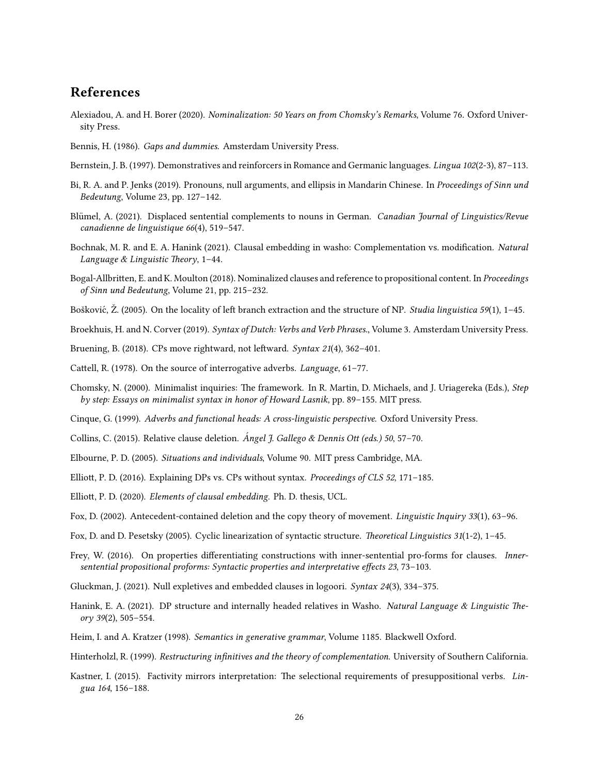## References

- Alexiadou, A. and H. Borer (2020). Nominalization: 50 Years on from Chomsky's Remarks, Volume 76. Oxford University Press.
- Bennis, H. (1986). Gaps and dummies. Amsterdam University Press.
- Bernstein, J. B. (1997). Demonstratives and reinforcers in Romance and Germanic languages. Lingua 102(2-3), 87–113.
- Bi, R. A. and P. Jenks (2019). Pronouns, null arguments, and ellipsis in Mandarin Chinese. In Proceedings of Sinn und Bedeutung, Volume 23, pp. 127–142.
- Blümel, A. (2021). Displaced sentential complements to nouns in German. Canadian Journal of Linguistics/Revue canadienne de linguistique 66(4), 519–547.
- Bochnak, M. R. and E. A. Hanink (2021). Clausal embedding in washo: Complementation vs. modification. Natural Language & Linguistic Theory, 1-44.
- Bogal-Allbritten, E. and K. Moulton (2018). Nominalized clauses and reference to propositional content. In Proceedings of Sinn und Bedeutung, Volume 21, pp. 215–232.
- Bošković, Ž. (2005). On the locality of left branch extraction and the structure of NP. Studia linguistica 59(1), 1–45.
- Broekhuis, H. and N. Corver (2019). Syntax of Dutch: Verbs and Verb Phrases., Volume 3. Amsterdam University Press.
- Bruening, B. (2018). CPs move rightward, not leftward. Syntax 21(4), 362-401.
- Cattell, R. (1978). On the source of interrogative adverbs. Language, 61–77.
- Chomsky, N. (2000). Minimalist inquiries: The framework. In R. Martin, D. Michaels, and J. Uriagereka (Eds.), Step by step: Essays on minimalist syntax in honor of Howard Lasnik, pp. 89–155. MIT press.
- Cinque, G. (1999). Adverbs and functional heads: A cross-linguistic perspective. Oxford University Press.
- Collins, C. (2015). Relative clause deletion. Angel J. Gallego & Dennis Ott (eds.) 50, 57–70.
- Elbourne, P. D. (2005). Situations and individuals, Volume 90. MIT press Cambridge, MA.
- Elliott, P. D. (2016). Explaining DPs vs. CPs without syntax. Proceedings of CLS 52, 171-185.
- Elliott, P. D. (2020). Elements of clausal embedding. Ph. D. thesis, UCL.
- Fox, D. (2002). Antecedent-contained deletion and the copy theory of movement. Linguistic Inquiry 33(1), 63–96.
- Fox, D. and D. Pesetsky (2005). Cyclic linearization of syntactic structure. Theoretical Linguistics  $31(1-2)$ ,  $1-45$ .
- Frey, W. (2016). On properties differentiating constructions with inner-sentential pro-forms for clauses. Innersentential propositional proforms: Syntactic properties and interpretative effects 23, 73–103.
- Gluckman, J. (2021). Null expletives and embedded clauses in logoori. Syntax 24(3), 334–375.
- Hanink, E. A. (2021). DP structure and internally headed relatives in Washo. Natural Language & Linguistic Theory 39(2), 505–554.
- Heim, I. and A. Kratzer (1998). Semantics in generative grammar, Volume 1185. Blackwell Oxford.
- Hinterholzl, R. (1999). Restructuring infinitives and the theory of complementation. University of Southern California.
- Kastner, I. (2015). Factivity mirrors interpretation: The selectional requirements of presuppositional verbs. Lingua 164, 156–188.